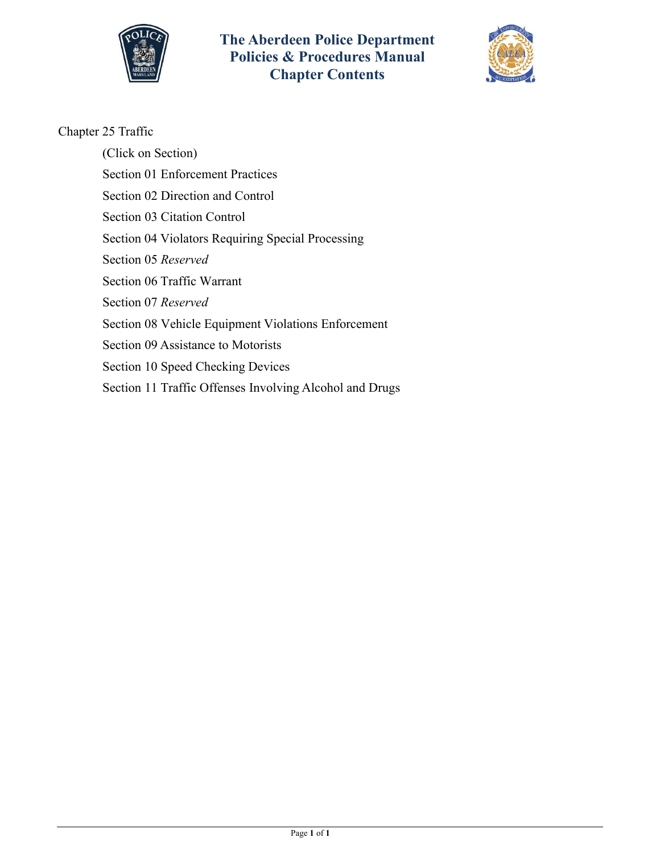



## Chapter 25 Traffic

(Click on Section) Section [01 Enforcement Practices](#page-1-0) Section [02 Direction and Control](#page-9-0) Section [03 Citation Control](#page-13-0) Section [04 Violators Requiring Special Processing](#page-16-0) Section 05 *Reserved* Section [06 Traffic Warrant](#page-18-0) Section 07 *Reserved* Section [08 Vehicle Equipment Violations Enforcement](#page-21-0) Section [09 Assistance to Motorists](#page-23-0) Section [10 Speed Checking Devices](#page-24-0)

Section [11 Traffic Offenses Involving Alcohol and Drugs](#page-26-0)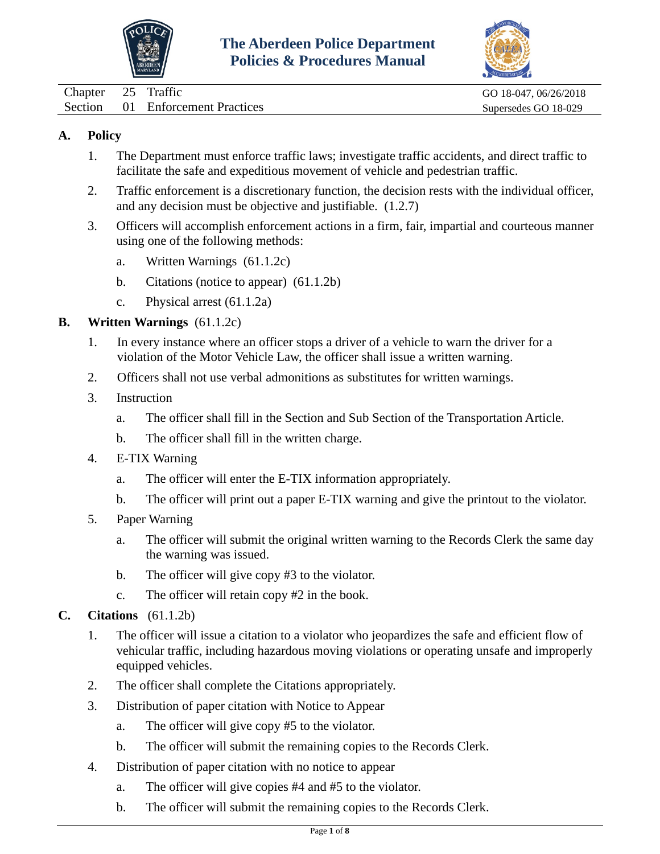



<span id="page-1-0"></span>

| Chapter 25 Traffic |                                  | GO 18-047, 06/26/2018 |
|--------------------|----------------------------------|-----------------------|
|                    | Section 01 Enforcement Practices | Supersedes GO 18-029  |

- 1. The Department must enforce traffic laws; investigate traffic accidents, and direct traffic to facilitate the safe and expeditious movement of vehicle and pedestrian traffic.
- 2. Traffic enforcement is a discretionary function, the decision rests with the individual officer, and any decision must be objective and justifiable. (1.2.7)
- 3. Officers will accomplish enforcement actions in a firm, fair, impartial and courteous manner using one of the following methods:
	- a. Written Warnings (61.1.2c)
	- b. Citations (notice to appear) (61.1.2b)
	- c. Physical arrest (61.1.2a)

#### **B. Written Warnings** (61.1.2c)

- 1. In every instance where an officer stops a driver of a vehicle to warn the driver for a violation of the Motor Vehicle Law, the officer shall issue a written warning.
- 2. Officers shall not use verbal admonitions as substitutes for written warnings.
- 3. Instruction
	- a. The officer shall fill in the Section and Sub Section of the Transportation Article.
	- b. The officer shall fill in the written charge.
- 4. E-TIX Warning
	- a. The officer will enter the E-TIX information appropriately.
	- b. The officer will print out a paper E-TIX warning and give the printout to the violator.
- 5. Paper Warning
	- a. The officer will submit the original written warning to the Records Clerk the same day the warning was issued.
	- b. The officer will give copy #3 to the violator.
	- c. The officer will retain copy #2 in the book.
- **C. Citations** (61.1.2b)
	- 1. The officer will issue a citation to a violator who jeopardizes the safe and efficient flow of vehicular traffic, including hazardous moving violations or operating unsafe and improperly equipped vehicles.
	- 2. The officer shall complete the Citations appropriately.
	- 3. Distribution of paper citation with Notice to Appear
		- a. The officer will give copy #5 to the violator.
		- b. The officer will submit the remaining copies to the Records Clerk.
	- 4. Distribution of paper citation with no notice to appear
		- a. The officer will give copies #4 and #5 to the violator.
		- b. The officer will submit the remaining copies to the Records Clerk.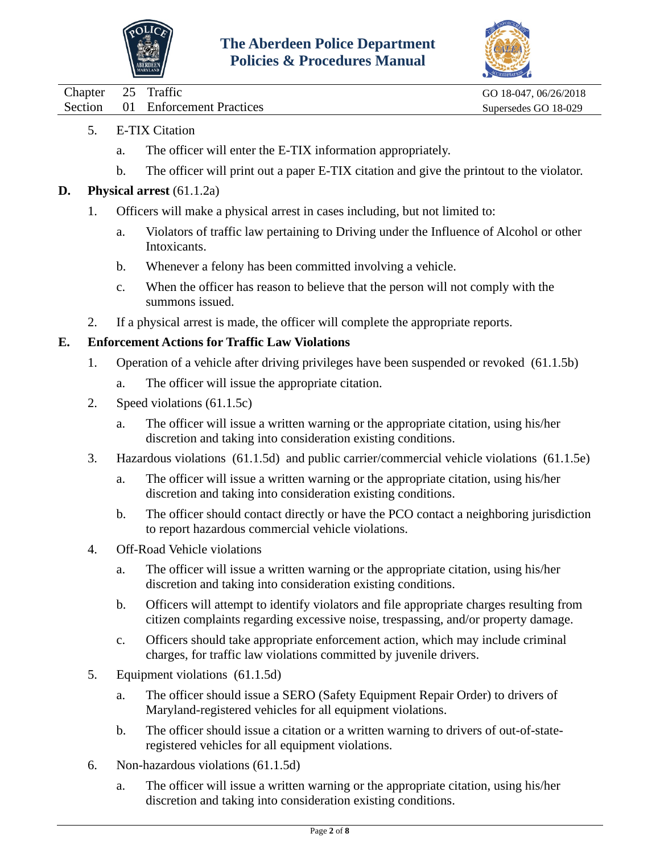



| Chapter 25 Traffic |                                  | GO 18-047, 06/26/2018 |
|--------------------|----------------------------------|-----------------------|
|                    | Section 01 Enforcement Practices | Supersedes GO 18-029  |

- 5. E-TIX Citation
	- a. The officer will enter the E-TIX information appropriately.
	- b. The officer will print out a paper E-TIX citation and give the printout to the violator.
- **D. Physical arrest** (61.1.2a)
	- 1. Officers will make a physical arrest in cases including, but not limited to:
		- a. Violators of traffic law pertaining to Driving under the Influence of Alcohol or other Intoxicants.
		- b. Whenever a felony has been committed involving a vehicle.
		- c. When the officer has reason to believe that the person will not comply with the summons issued.
	- 2. If a physical arrest is made, the officer will complete the appropriate reports.

#### **E. Enforcement Actions for Traffic Law Violations**

- 1. Operation of a vehicle after driving privileges have been suspended or revoked (61.1.5b)
	- a. The officer will issue the appropriate citation.
- 2. Speed violations (61.1.5c)
	- a. The officer will issue a written warning or the appropriate citation, using his/her discretion and taking into consideration existing conditions.
- 3. Hazardous violations (61.1.5d) and public carrier/commercial vehicle violations (61.1.5e)
	- a. The officer will issue a written warning or the appropriate citation, using his/her discretion and taking into consideration existing conditions.
	- b. The officer should contact directly or have the PCO contact a neighboring jurisdiction to report hazardous commercial vehicle violations.
- 4. Off-Road Vehicle violations
	- a. The officer will issue a written warning or the appropriate citation, using his/her discretion and taking into consideration existing conditions.
	- b. Officers will attempt to identify violators and file appropriate charges resulting from citizen complaints regarding excessive noise, trespassing, and/or property damage.
	- c. Officers should take appropriate enforcement action, which may include criminal charges, for traffic law violations committed by juvenile drivers.
- 5. Equipment violations (61.1.5d)
	- a. The officer should issue a SERO (Safety Equipment Repair Order) to drivers of Maryland-registered vehicles for all equipment violations.
	- b. The officer should issue a citation or a written warning to drivers of out-of-stateregistered vehicles for all equipment violations.
- 6. Non-hazardous violations (61.1.5d)
	- a. The officer will issue a written warning or the appropriate citation, using his/her discretion and taking into consideration existing conditions.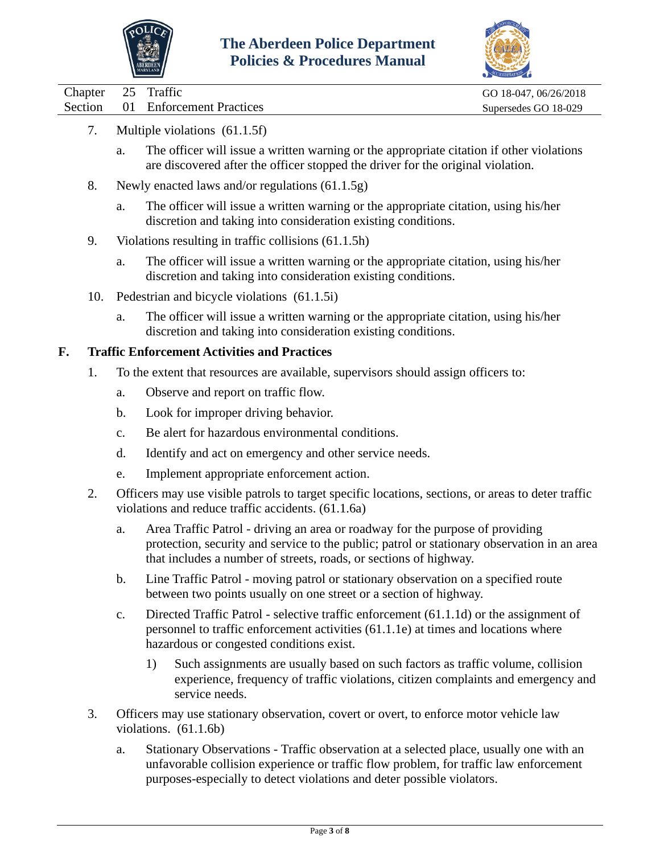



Chapter 25 Traffic GO 18-047, 06/26/2018 Section 01 Enforcement Practices Supersedes GO 18-029

- 7. Multiple violations (61.1.5f)
	- a. The officer will issue a written warning or the appropriate citation if other violations are discovered after the officer stopped the driver for the original violation.
	- 8. Newly enacted laws and/or regulations (61.1.5g)
		- a. The officer will issue a written warning or the appropriate citation, using his/her discretion and taking into consideration existing conditions.
	- 9. Violations resulting in traffic collisions (61.1.5h)
		- a. The officer will issue a written warning or the appropriate citation, using his/her discretion and taking into consideration existing conditions.
	- 10. Pedestrian and bicycle violations (61.1.5i)
		- a. The officer will issue a written warning or the appropriate citation, using his/her discretion and taking into consideration existing conditions.

#### **F. Traffic Enforcement Activities and Practices**

- 1. To the extent that resources are available, supervisors should assign officers to:
	- a. Observe and report on traffic flow.
	- b. Look for improper driving behavior.
	- c. Be alert for hazardous environmental conditions.
	- d. Identify and act on emergency and other service needs.
	- e. Implement appropriate enforcement action.
- 2. Officers may use visible patrols to target specific locations, sections, or areas to deter traffic violations and reduce traffic accidents. (61.1.6a)
	- a. Area Traffic Patrol driving an area or roadway for the purpose of providing protection, security and service to the public; patrol or stationary observation in an area that includes a number of streets, roads, or sections of highway.
	- b. Line Traffic Patrol moving patrol or stationary observation on a specified route between two points usually on one street or a section of highway.
	- c. Directed Traffic Patrol selective traffic enforcement (61.1.1d) or the assignment of personnel to traffic enforcement activities (61.1.1e) at times and locations where hazardous or congested conditions exist.
		- 1) Such assignments are usually based on such factors as traffic volume, collision experience, frequency of traffic violations, citizen complaints and emergency and service needs.
- 3. Officers may use stationary observation, covert or overt, to enforce motor vehicle law violations. (61.1.6b)
	- a. Stationary Observations Traffic observation at a selected place, usually one with an unfavorable collision experience or traffic flow problem, for traffic law enforcement purposes-especially to detect violations and deter possible violators.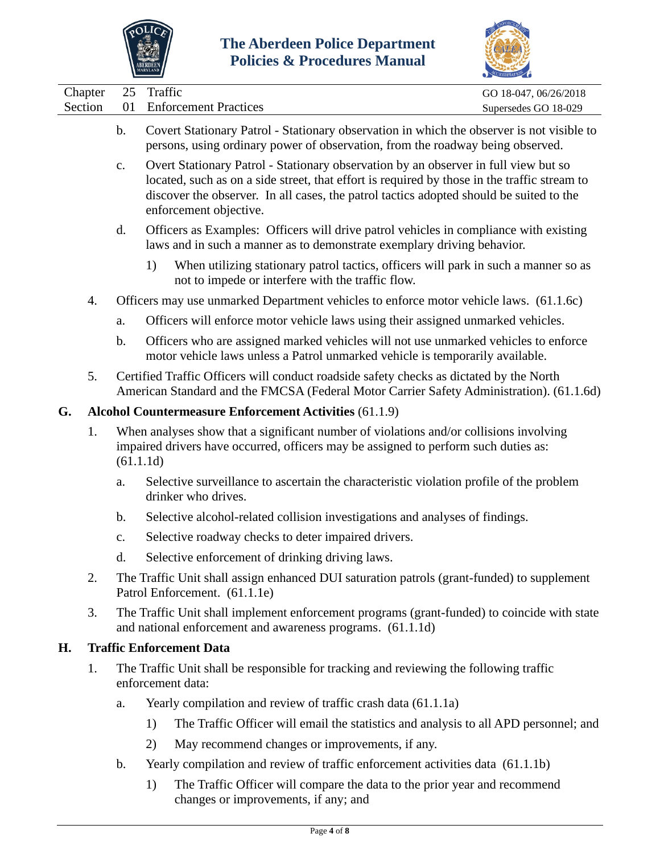



|    |         |                                                                                                                                                                                            |                                                                                                                                                                                                                                                                                                          | ACCREDITATION         |  |
|----|---------|--------------------------------------------------------------------------------------------------------------------------------------------------------------------------------------------|----------------------------------------------------------------------------------------------------------------------------------------------------------------------------------------------------------------------------------------------------------------------------------------------------------|-----------------------|--|
|    | Chapter | 25                                                                                                                                                                                         | Traffic                                                                                                                                                                                                                                                                                                  | GO 18-047, 06/26/2018 |  |
|    | Section | 01                                                                                                                                                                                         | <b>Enforcement Practices</b>                                                                                                                                                                                                                                                                             | Supersedes GO 18-029  |  |
|    |         | b.                                                                                                                                                                                         | Covert Stationary Patrol - Stationary observation in which the observer is not visible to<br>persons, using ordinary power of observation, from the roadway being observed.                                                                                                                              |                       |  |
|    |         | $\mathbf{c}$ .                                                                                                                                                                             | Overt Stationary Patrol - Stationary observation by an observer in full view but so<br>located, such as on a side street, that effort is required by those in the traffic stream to<br>discover the observer. In all cases, the patrol tactics adopted should be suited to the<br>enforcement objective. |                       |  |
|    |         | d.                                                                                                                                                                                         | Officers as Examples: Officers will drive patrol vehicles in compliance with existing<br>laws and in such a manner as to demonstrate exemplary driving behavior.                                                                                                                                         |                       |  |
|    |         |                                                                                                                                                                                            | When utilizing stationary patrol tactics, officers will park in such a manner so as<br>1)<br>not to impede or interfere with the traffic flow.                                                                                                                                                           |                       |  |
|    | 4.      |                                                                                                                                                                                            | Officers may use unmarked Department vehicles to enforce motor vehicle laws. (61.1.6c)                                                                                                                                                                                                                   |                       |  |
|    |         | a.                                                                                                                                                                                         | Officers will enforce motor vehicle laws using their assigned unmarked vehicles.                                                                                                                                                                                                                         |                       |  |
|    |         | b.                                                                                                                                                                                         | Officers who are assigned marked vehicles will not use unmarked vehicles to enforce<br>motor vehicle laws unless a Patrol unmarked vehicle is temporarily available.                                                                                                                                     |                       |  |
|    | 5.      |                                                                                                                                                                                            | Certified Traffic Officers will conduct roadside safety checks as dictated by the North<br>American Standard and the FMCSA (Federal Motor Carrier Safety Administration). (61.1.6d)                                                                                                                      |                       |  |
| G. |         |                                                                                                                                                                                            | <b>Alcohol Countermeasure Enforcement Activities (61.1.9)</b>                                                                                                                                                                                                                                            |                       |  |
|    | 1.      | When analyses show that a significant number of violations and/or collisions involving<br>impaired drivers have occurred, officers may be assigned to perform such duties as:<br>(61.1.1d) |                                                                                                                                                                                                                                                                                                          |                       |  |
|    |         | a.                                                                                                                                                                                         | Selective surveillance to ascertain the characteristic violation profile of the problem<br>drinker who drives.                                                                                                                                                                                           |                       |  |
|    |         | b.                                                                                                                                                                                         | Selective alcohol-related collision investigations and analyses of findings.                                                                                                                                                                                                                             |                       |  |
|    |         | $\mathbf{c}$ .                                                                                                                                                                             | Selective roadway checks to deter impaired drivers.                                                                                                                                                                                                                                                      |                       |  |
|    |         | d.                                                                                                                                                                                         | Selective enforcement of drinking driving laws.                                                                                                                                                                                                                                                          |                       |  |
|    | 2.      |                                                                                                                                                                                            | The Traffic Unit shall assign enhanced DUI saturation patrols (grant-funded) to supplement<br>Patrol Enforcement. (61.1.1e)                                                                                                                                                                              |                       |  |
|    | 3.      |                                                                                                                                                                                            | The Traffic Unit shall implement enforcement programs (grant-funded) to coincide with state<br>and national enforcement and awareness programs. (61.1.1d)                                                                                                                                                |                       |  |
| Н. |         |                                                                                                                                                                                            | <b>Traffic Enforcement Data</b>                                                                                                                                                                                                                                                                          |                       |  |
|    | 1.      |                                                                                                                                                                                            | The Traffic Unit shall be responsible for tracking and reviewing the following traffic<br>enforcement data:                                                                                                                                                                                              |                       |  |
|    |         | a.                                                                                                                                                                                         | Yearly compilation and review of traffic crash data (61.1.1a)                                                                                                                                                                                                                                            |                       |  |
|    |         |                                                                                                                                                                                            | 1)<br>The Traffic Officer will email the statistics and analysis to all APD personnel; and                                                                                                                                                                                                               |                       |  |
|    |         |                                                                                                                                                                                            | May recommend changes or improvements, if any.<br>2)                                                                                                                                                                                                                                                     |                       |  |
|    |         |                                                                                                                                                                                            | Monday committed and neglect of the file on forecast activities data (61,1,1)                                                                                                                                                                                                                            |                       |  |

- b. Yearly compilation and review of traffic enforcement activities data (61.1.1b)
	- 1) The Traffic Officer will compare the data to the prior year and recommend changes or improvements, if any; and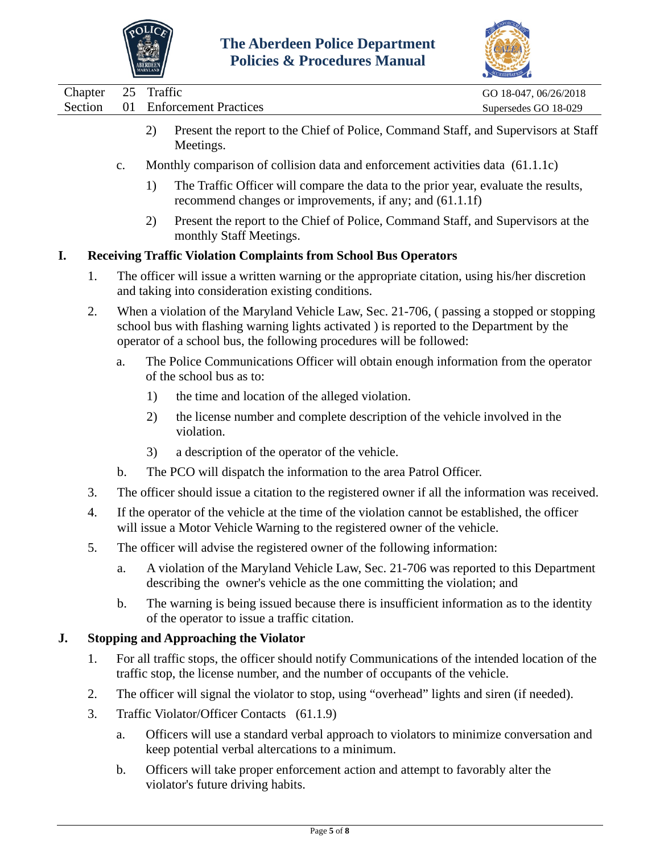



|    |                    |               | ABERDEEN<br>maryland | <u>Uncles</u> & 1 roceaures infantal                                                                                                                                                                                                                          |                                               |
|----|--------------------|---------------|----------------------|---------------------------------------------------------------------------------------------------------------------------------------------------------------------------------------------------------------------------------------------------------------|-----------------------------------------------|
|    | Chapter<br>Section | 25<br>01      | Traffic              | <b>Enforcement Practices</b>                                                                                                                                                                                                                                  | GO 18-047, 06/26/2018<br>Supersedes GO 18-029 |
|    |                    |               | 2)                   | Present the report to the Chief of Police, Command Staff, and Supervisors at Staff<br>Meetings.                                                                                                                                                               |                                               |
|    |                    | $C_{\bullet}$ |                      | Monthly comparison of collision data and enforcement activities data (61.1.1c)                                                                                                                                                                                |                                               |
|    |                    |               | 1)                   | The Traffic Officer will compare the data to the prior year, evaluate the results,<br>recommend changes or improvements, if any; and (61.1.1f)                                                                                                                |                                               |
|    |                    |               | 2)                   | Present the report to the Chief of Police, Command Staff, and Supervisors at the<br>monthly Staff Meetings.                                                                                                                                                   |                                               |
| I. |                    |               |                      | <b>Receiving Traffic Violation Complaints from School Bus Operators</b>                                                                                                                                                                                       |                                               |
|    | 1.                 |               |                      | The officer will issue a written warning or the appropriate citation, using his/her discretion<br>and taking into consideration existing conditions.                                                                                                          |                                               |
|    | 2.                 |               |                      | When a violation of the Maryland Vehicle Law, Sec. 21-706, (passing a stopped or stopping<br>school bus with flashing warning lights activated ) is reported to the Department by the<br>operator of a school bus, the following procedures will be followed: |                                               |
|    |                    | a.            |                      | The Police Communications Officer will obtain enough information from the operator<br>of the school bus as to:                                                                                                                                                |                                               |
|    |                    |               | 1)                   | the time and location of the alleged violation.                                                                                                                                                                                                               |                                               |
|    |                    |               | 2)                   | the license number and complete description of the vehicle involved in the<br>violation.                                                                                                                                                                      |                                               |
|    |                    |               | 3)                   | a description of the operator of the vehicle.                                                                                                                                                                                                                 |                                               |
|    |                    | $\mathbf b$ . |                      | The PCO will dispatch the information to the area Patrol Officer.                                                                                                                                                                                             |                                               |
|    | 3.                 |               |                      | The officer should issue a citation to the registered owner if all the information was received.                                                                                                                                                              |                                               |
|    | 4.                 |               |                      | If the operator of the vehicle at the time of the violation cannot be established, the officer<br>will issue a Motor Vehicle Warning to the registered owner of the vehicle.                                                                                  |                                               |
|    | 5.                 |               |                      | The officer will advise the registered owner of the following information:                                                                                                                                                                                    |                                               |
|    |                    | a.            |                      | A violation of the Maryland Vehicle Law, Sec. 21-706 was reported to this Department<br>describing the owner's vehicle as the one committing the violation; and                                                                                               |                                               |
|    |                    | b.            |                      | The warning is being issued because there is insufficient information as to the identity<br>of the operator to issue a traffic citation.                                                                                                                      |                                               |
| J. |                    |               |                      | <b>Stopping and Approaching the Violator</b>                                                                                                                                                                                                                  |                                               |
|    | 1.                 |               |                      | For all traffic stops, the officer should notify Communications of the intended location of the<br>traffic stop, the license number, and the number of occupants of the vehicle.                                                                              |                                               |
|    | 2.                 |               |                      | The officer will signal the violator to stop, using "overhead" lights and siren (if needed).                                                                                                                                                                  |                                               |
|    | 3.                 |               |                      | Traffic Violator/Officer Contacts (61.1.9)                                                                                                                                                                                                                    |                                               |
|    |                    | a.            |                      | Officers will use a standard verbal approach to violators to minimize conversation and                                                                                                                                                                        |                                               |

- keep potential verbal altercations to a minimum. b. Officers will take proper enforcement action and attempt to favorably alter the
- violator's future driving habits.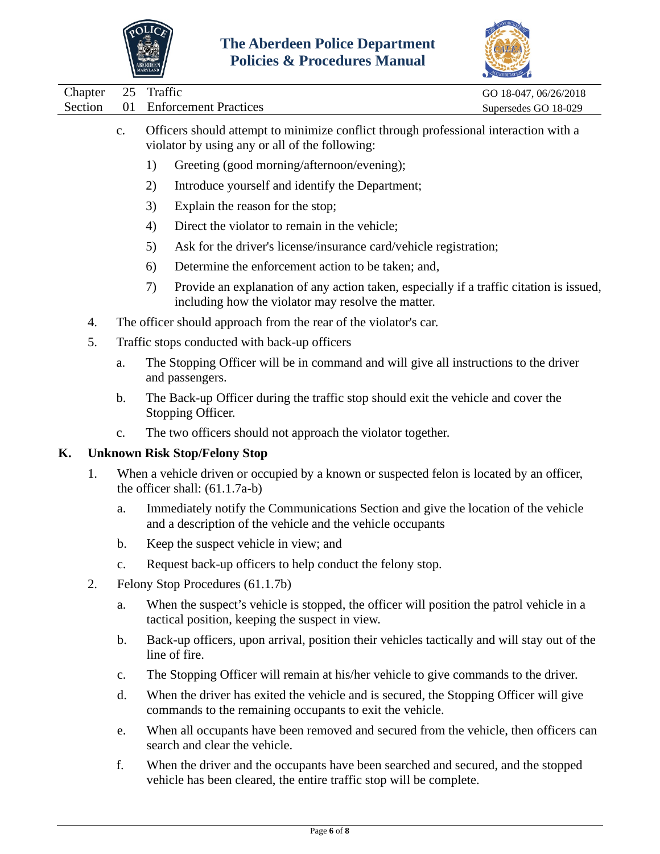



|                    |                                               | <b>MARYLAND</b> |                                                                                                                                                  |                                               |
|--------------------|-----------------------------------------------|-----------------|--------------------------------------------------------------------------------------------------------------------------------------------------|-----------------------------------------------|
| Chapter<br>Section | 25<br>01                                      | Traffic         | <b>Enforcement Practices</b>                                                                                                                     | GO 18-047, 06/26/2018<br>Supersedes GO 18-029 |
|                    | $C_{\bullet}$                                 |                 | Officers should attempt to minimize conflict through professional interaction with a<br>violator by using any or all of the following:           |                                               |
|                    |                                               | 1)              | Greeting (good morning/afternoon/evening);                                                                                                       |                                               |
|                    |                                               | 2)              | Introduce yourself and identify the Department;                                                                                                  |                                               |
|                    |                                               | 3)              | Explain the reason for the stop;                                                                                                                 |                                               |
|                    |                                               | 4)              | Direct the violator to remain in the vehicle;                                                                                                    |                                               |
|                    |                                               | 5)              | Ask for the driver's license/insurance card/vehicle registration;                                                                                |                                               |
|                    |                                               | 6)              | Determine the enforcement action to be taken; and,                                                                                               |                                               |
|                    |                                               | 7)              | Provide an explanation of any action taken, especially if a traffic citation is issued,<br>including how the violator may resolve the matter.    |                                               |
| 4.                 |                                               |                 | The officer should approach from the rear of the violator's car.                                                                                 |                                               |
| 5.                 | Traffic stops conducted with back-up officers |                 |                                                                                                                                                  |                                               |
|                    | a.                                            |                 | The Stopping Officer will be in command and will give all instructions to the driver<br>and passengers.                                          |                                               |
|                    | $\mathbf b$ .                                 |                 | The Back-up Officer during the traffic stop should exit the vehicle and cover the<br>Stopping Officer.                                           |                                               |
|                    | c.                                            |                 | The two officers should not approach the violator together.                                                                                      |                                               |
| K.                 |                                               |                 | <b>Unknown Risk Stop/Felony Stop</b>                                                                                                             |                                               |
| 1.                 |                                               |                 | When a vehicle driven or occupied by a known or suspected felon is located by an officer,<br>the officer shall: $(61.1.7a-b)$                    |                                               |
|                    | a.                                            |                 | Immediately notify the Communications Section and give the location of the vehicle<br>and a description of the vehicle and the vehicle occupants |                                               |
|                    | b.                                            |                 | Keep the suspect vehicle in view; and                                                                                                            |                                               |
|                    | c.                                            |                 | Request back-up officers to help conduct the felony stop.                                                                                        |                                               |
| 2.                 |                                               |                 | Felony Stop Procedures (61.1.7b)                                                                                                                 |                                               |
|                    | a.                                            |                 | When the suspect's vehicle is stopped, the officer will position the patrol vehicle in a<br>tactical position, keeping the suspect in view.      |                                               |
|                    | $\mathbf b$ .                                 |                 | Back-up officers, upon arrival, position their vehicles tactically and will stay out of the<br>line of fire.                                     |                                               |
|                    | $\mathbf{c}$ .                                |                 | The Stopping Officer will remain at his/her vehicle to give commands to the driver.                                                              |                                               |

- d. When the driver has exited the vehicle and is secured, the Stopping Officer will give commands to the remaining occupants to exit the vehicle.
- e. When all occupants have been removed and secured from the vehicle, then officers can search and clear the vehicle.
- f. When the driver and the occupants have been searched and secured, and the stopped vehicle has been cleared, the entire traffic stop will be complete.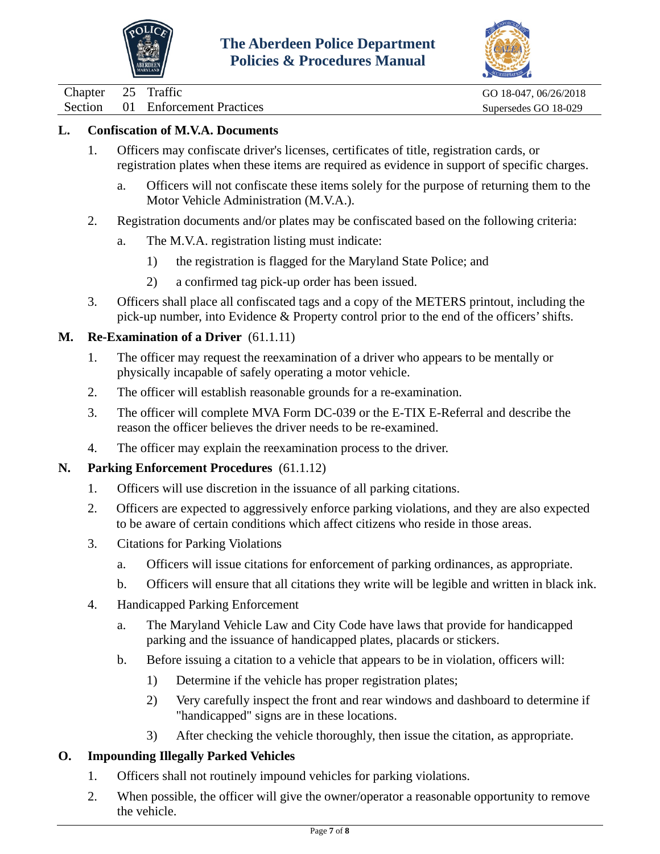



01 Enforcement Practices Supersedes GO 18-029

### **L. Confiscation of M.V.A. Documents**

- 1. Officers may confiscate driver's licenses, certificates of title, registration cards, or registration plates when these items are required as evidence in support of specific charges.
	- a. Officers will not confiscate these items solely for the purpose of returning them to the Motor Vehicle Administration (M.V.A.).
- 2. Registration documents and/or plates may be confiscated based on the following criteria:
	- a. The M.V.A. registration listing must indicate:
		- 1) the registration is flagged for the Maryland State Police; and
		- 2) a confirmed tag pick-up order has been issued.
- 3. Officers shall place all confiscated tags and a copy of the METERS printout, including the pick-up number, into Evidence & Property control prior to the end of the officers' shifts.

#### **M. Re-Examination of a Driver** (61.1.11)

- 1. The officer may request the reexamination of a driver who appears to be mentally or physically incapable of safely operating a motor vehicle.
- 2. The officer will establish reasonable grounds for a re-examination.
- 3. The officer will complete MVA Form DC-039 or the E-TIX E-Referral and describe the reason the officer believes the driver needs to be re-examined.
- 4. The officer may explain the reexamination process to the driver.

### **N. Parking Enforcement Procedures** (61.1.12)

- 1. Officers will use discretion in the issuance of all parking citations.
- 2. Officers are expected to aggressively enforce parking violations, and they are also expected to be aware of certain conditions which affect citizens who reside in those areas.
- 3. Citations for Parking Violations
	- a. Officers will issue citations for enforcement of parking ordinances, as appropriate.
	- b. Officers will ensure that all citations they write will be legible and written in black ink.
- 4. Handicapped Parking Enforcement
	- a. The Maryland Vehicle Law and City Code have laws that provide for handicapped parking and the issuance of handicapped plates, placards or stickers.
	- b. Before issuing a citation to a vehicle that appears to be in violation, officers will:
		- 1) Determine if the vehicle has proper registration plates;
		- 2) Very carefully inspect the front and rear windows and dashboard to determine if "handicapped" signs are in these locations.
		- 3) After checking the vehicle thoroughly, then issue the citation, as appropriate.

### **O. Impounding Illegally Parked Vehicles**

- 1. Officers shall not routinely impound vehicles for parking violations.
- 2. When possible, the officer will give the owner/operator a reasonable opportunity to remove the vehicle.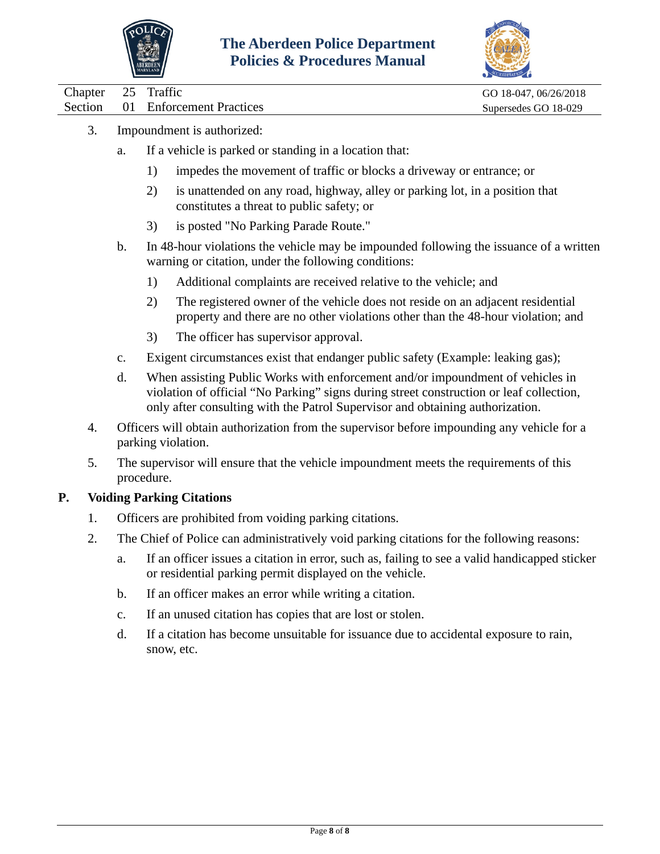



Chapter 25 Traffic GO 18-047, 06/26/2018 Section 01 Enforcement Practices Supersedes GO 18-029

- 3. Impoundment is authorized:
	- a. If a vehicle is parked or standing in a location that:
		- 1) impedes the movement of traffic or blocks a driveway or entrance; or
		- 2) is unattended on any road, highway, alley or parking lot, in a position that constitutes a threat to public safety; or
		- 3) is posted "No Parking Parade Route."
	- b. In 48-hour violations the vehicle may be impounded following the issuance of a written warning or citation, under the following conditions:
		- 1) Additional complaints are received relative to the vehicle; and
		- 2) The registered owner of the vehicle does not reside on an adjacent residential property and there are no other violations other than the 48-hour violation; and
		- 3) The officer has supervisor approval.
	- c. Exigent circumstances exist that endanger public safety (Example: leaking gas);
	- d. When assisting Public Works with enforcement and/or impoundment of vehicles in violation of official "No Parking" signs during street construction or leaf collection, only after consulting with the Patrol Supervisor and obtaining authorization.
	- 4. Officers will obtain authorization from the supervisor before impounding any vehicle for a parking violation.
	- 5. The supervisor will ensure that the vehicle impoundment meets the requirements of this procedure.

### **P. Voiding Parking Citations**

- 1. Officers are prohibited from voiding parking citations.
- 2. The Chief of Police can administratively void parking citations for the following reasons:
	- a. If an officer issues a citation in error, such as, failing to see a valid handicapped sticker or residential parking permit displayed on the vehicle.
	- b. If an officer makes an error while writing a citation.
	- c. If an unused citation has copies that are lost or stolen.
	- d. If a citation has become unsuitable for issuance due to accidental exposure to rain, snow, etc.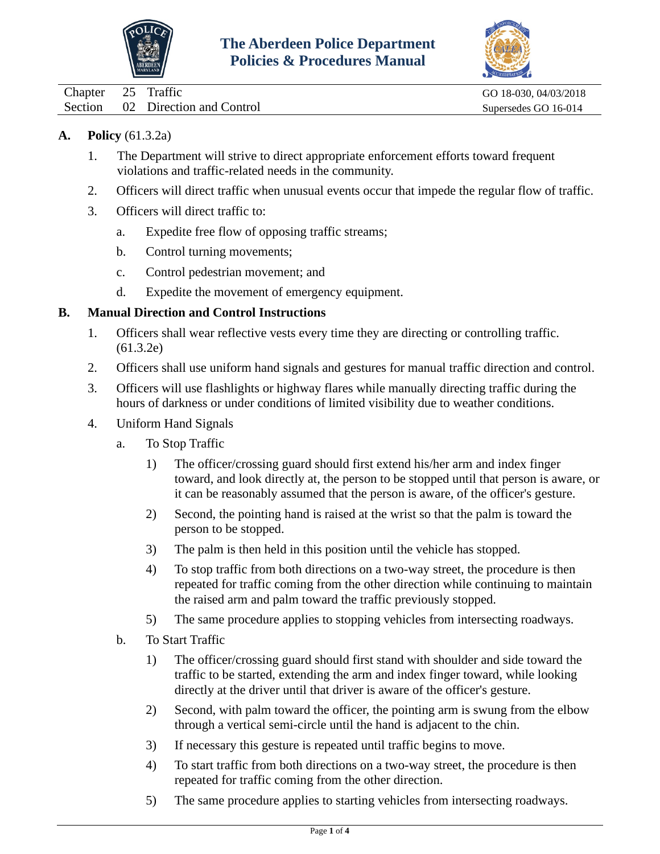



<span id="page-9-0"></span>

| Chapter 25 Traffic |                                  | GO 18-030, 04/03/2018 |
|--------------------|----------------------------------|-----------------------|
|                    | Section 02 Direction and Control | Supersedes GO 16-014  |

### **A. Policy** (61.3.2a)

- 1. The Department will strive to direct appropriate enforcement efforts toward frequent violations and traffic-related needs in the community.
- 2. Officers will direct traffic when unusual events occur that impede the regular flow of traffic.
- 3. Officers will direct traffic to:
	- a. Expedite free flow of opposing traffic streams;
	- b. Control turning movements;
	- c. Control pedestrian movement; and
	- d. Expedite the movement of emergency equipment.

### **B. Manual Direction and Control Instructions**

- 1. Officers shall wear reflective vests every time they are directing or controlling traffic. (61.3.2e)
- 2. Officers shall use uniform hand signals and gestures for manual traffic direction and control.
- 3. Officers will use flashlights or highway flares while manually directing traffic during the hours of darkness or under conditions of limited visibility due to weather conditions.
- 4. Uniform Hand Signals
	- a. To Stop Traffic
		- 1) The officer/crossing guard should first extend his/her arm and index finger toward, and look directly at, the person to be stopped until that person is aware, or it can be reasonably assumed that the person is aware, of the officer's gesture.
		- 2) Second, the pointing hand is raised at the wrist so that the palm is toward the person to be stopped.
		- 3) The palm is then held in this position until the vehicle has stopped.
		- 4) To stop traffic from both directions on a two-way street, the procedure is then repeated for traffic coming from the other direction while continuing to maintain the raised arm and palm toward the traffic previously stopped.
		- 5) The same procedure applies to stopping vehicles from intersecting roadways.
	- b. To Start Traffic
		- 1) The officer/crossing guard should first stand with shoulder and side toward the traffic to be started, extending the arm and index finger toward, while looking directly at the driver until that driver is aware of the officer's gesture.
		- 2) Second, with palm toward the officer, the pointing arm is swung from the elbow through a vertical semi-circle until the hand is adjacent to the chin.
		- 3) If necessary this gesture is repeated until traffic begins to move.
		- 4) To start traffic from both directions on a two-way street, the procedure is then repeated for traffic coming from the other direction.
		- 5) The same procedure applies to starting vehicles from intersecting roadways.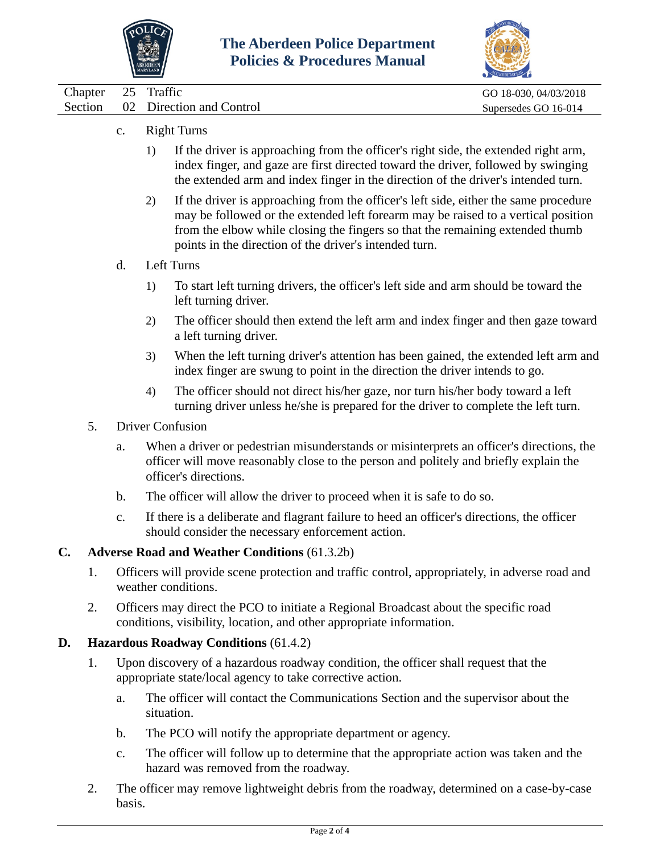



| Chapter 25 Traffic |                                  | GO 18-030, 04/03/2018 |
|--------------------|----------------------------------|-----------------------|
|                    | Section 02 Direction and Control | Supersedes GO 16-014  |
|                    |                                  |                       |

- c. Right Turns
	- 1) If the driver is approaching from the officer's right side, the extended right arm, index finger, and gaze are first directed toward the driver, followed by swinging the extended arm and index finger in the direction of the driver's intended turn.
	- 2) If the driver is approaching from the officer's left side, either the same procedure may be followed or the extended left forearm may be raised to a vertical position from the elbow while closing the fingers so that the remaining extended thumb points in the direction of the driver's intended turn.
- d. Left Turns
	- 1) To start left turning drivers, the officer's left side and arm should be toward the left turning driver.
	- 2) The officer should then extend the left arm and index finger and then gaze toward a left turning driver.
	- 3) When the left turning driver's attention has been gained, the extended left arm and index finger are swung to point in the direction the driver intends to go.
	- 4) The officer should not direct his/her gaze, nor turn his/her body toward a left turning driver unless he/she is prepared for the driver to complete the left turn.
- 5. Driver Confusion
	- a. When a driver or pedestrian misunderstands or misinterprets an officer's directions, the officer will move reasonably close to the person and politely and briefly explain the officer's directions.
	- b. The officer will allow the driver to proceed when it is safe to do so.
	- c. If there is a deliberate and flagrant failure to heed an officer's directions, the officer should consider the necessary enforcement action.

#### **C. Adverse Road and Weather Conditions** (61.3.2b)

- 1. Officers will provide scene protection and traffic control, appropriately, in adverse road and weather conditions.
- 2. Officers may direct the PCO to initiate a Regional Broadcast about the specific road conditions, visibility, location, and other appropriate information.

#### **D. Hazardous Roadway Conditions** (61.4.2)

- 1. Upon discovery of a hazardous roadway condition, the officer shall request that the appropriate state/local agency to take corrective action.
	- a. The officer will contact the Communications Section and the supervisor about the situation.
	- b. The PCO will notify the appropriate department or agency.
	- c. The officer will follow up to determine that the appropriate action was taken and the hazard was removed from the roadway.
- 2. The officer may remove lightweight debris from the roadway, determined on a case-by-case basis.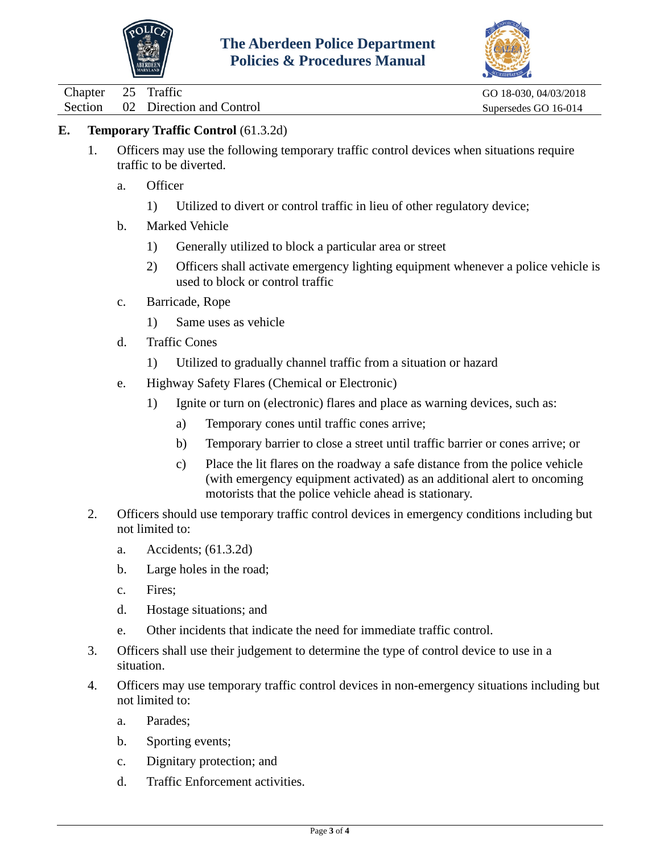



Chapter 25 Traffic GO 18-030, 04/03/2018

Section 02 Direction and Control Supersedes GO 16-014

# **E. Temporary Traffic Control** (61.3.2d)

- 1. Officers may use the following temporary traffic control devices when situations require traffic to be diverted.
	- a. Officer
		- 1) Utilized to divert or control traffic in lieu of other regulatory device;
	- b. Marked Vehicle
		- 1) Generally utilized to block a particular area or street
		- 2) Officers shall activate emergency lighting equipment whenever a police vehicle is used to block or control traffic
	- c. Barricade, Rope
		- 1) Same uses as vehicle
	- d. Traffic Cones
		- 1) Utilized to gradually channel traffic from a situation or hazard
	- e. Highway Safety Flares (Chemical or Electronic)
		- 1) Ignite or turn on (electronic) flares and place as warning devices, such as:
			- a) Temporary cones until traffic cones arrive;
			- b) Temporary barrier to close a street until traffic barrier or cones arrive; or
			- c) Place the lit flares on the roadway a safe distance from the police vehicle (with emergency equipment activated) as an additional alert to oncoming motorists that the police vehicle ahead is stationary.
- 2. Officers should use temporary traffic control devices in emergency conditions including but not limited to:
	- a. Accidents; (61.3.2d)
	- b. Large holes in the road;
	- c. Fires;
	- d. Hostage situations; and
	- e. Other incidents that indicate the need for immediate traffic control.
- 3. Officers shall use their judgement to determine the type of control device to use in a situation.
- 4. Officers may use temporary traffic control devices in non-emergency situations including but not limited to:
	- a. Parades;
	- b. Sporting events;
	- c. Dignitary protection; and
	- d. Traffic Enforcement activities.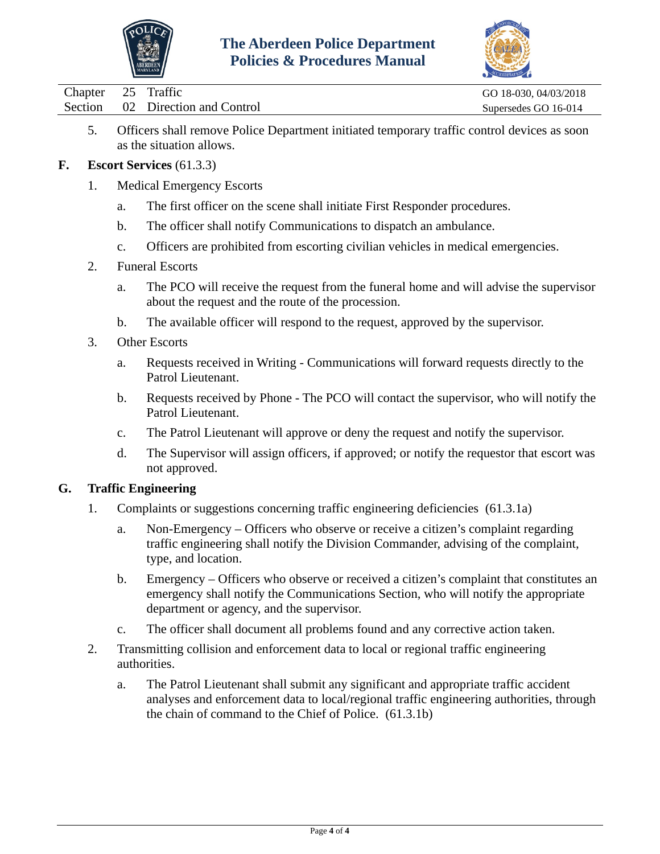



| Chapter 25 Traffic |                                  | GO 18-030, 04/03/2018 |
|--------------------|----------------------------------|-----------------------|
|                    | Section 02 Direction and Control | Supersedes GO 16-014  |

5. Officers shall remove Police Department initiated temporary traffic control devices as soon as the situation allows.

### **F. Escort Services** (61.3.3)

- 1. Medical Emergency Escorts
	- a. The first officer on the scene shall initiate First Responder procedures.
	- b. The officer shall notify Communications to dispatch an ambulance.
	- c. Officers are prohibited from escorting civilian vehicles in medical emergencies.
- 2. Funeral Escorts
	- a. The PCO will receive the request from the funeral home and will advise the supervisor about the request and the route of the procession.
	- b. The available officer will respond to the request, approved by the supervisor.
- 3. Other Escorts
	- a. Requests received in Writing Communications will forward requests directly to the Patrol Lieutenant.
	- b. Requests received by Phone The PCO will contact the supervisor, who will notify the Patrol Lieutenant.
	- c. The Patrol Lieutenant will approve or deny the request and notify the supervisor.
	- d. The Supervisor will assign officers, if approved; or notify the requestor that escort was not approved.

#### **G. Traffic Engineering**

- 1. Complaints or suggestions concerning traffic engineering deficiencies (61.3.1a)
	- a. Non-Emergency Officers who observe or receive a citizen's complaint regarding traffic engineering shall notify the Division Commander, advising of the complaint, type, and location.
	- b. Emergency Officers who observe or received a citizen's complaint that constitutes an emergency shall notify the Communications Section, who will notify the appropriate department or agency, and the supervisor.
	- c. The officer shall document all problems found and any corrective action taken.
- 2. Transmitting collision and enforcement data to local or regional traffic engineering authorities.
	- a. The Patrol Lieutenant shall submit any significant and appropriate traffic accident analyses and enforcement data to local/regional traffic engineering authorities, through the chain of command to the Chief of Police. (61.3.1b)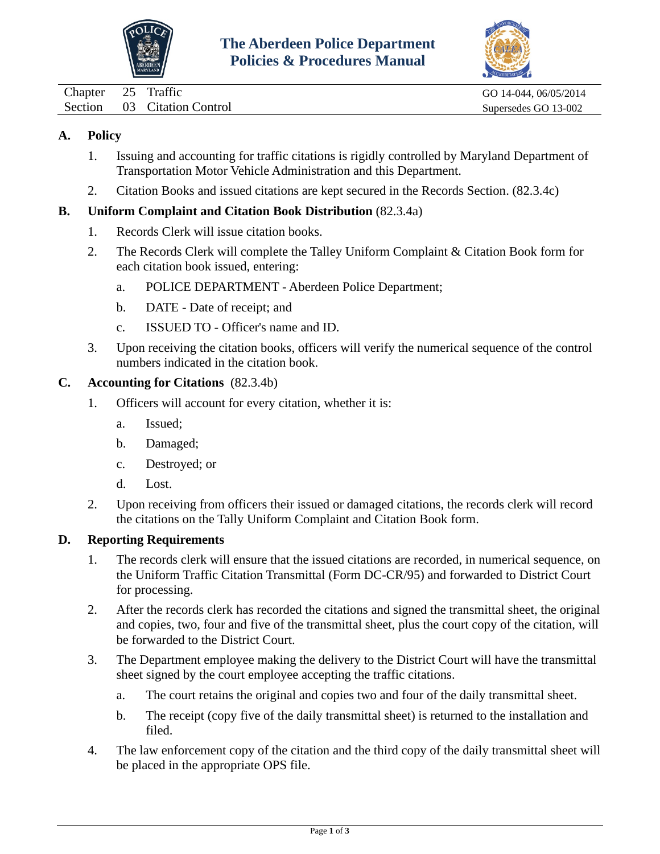



<span id="page-13-0"></span>Chapter 25 Traffic GO 14-044, 06/05/2014

Section 03 Citation Control Supersedes GO 13-002

# **A. Policy**

- 1. Issuing and accounting for traffic citations is rigidly controlled by Maryland Department of Transportation Motor Vehicle Administration and this Department.
- 2. Citation Books and issued citations are kept secured in the Records Section. (82.3.4c)

# **B. Uniform Complaint and Citation Book Distribution** (82.3.4a)

- 1. Records Clerk will issue citation books.
- 2. The Records Clerk will complete the Talley Uniform Complaint & Citation Book form for each citation book issued, entering:
	- a. POLICE DEPARTMENT Aberdeen Police Department;
	- b. DATE Date of receipt; and
	- c. ISSUED TO Officer's name and ID.
- 3. Upon receiving the citation books, officers will verify the numerical sequence of the control numbers indicated in the citation book.

## **C. Accounting for Citations** (82.3.4b)

- 1. Officers will account for every citation, whether it is:
	- a. Issued;
	- b. Damaged;
	- c. Destroyed; or
	- d. Lost.
- 2. Upon receiving from officers their issued or damaged citations, the records clerk will record the citations on the Tally Uniform Complaint and Citation Book form.

# **D. Reporting Requirements**

- 1. The records clerk will ensure that the issued citations are recorded, in numerical sequence, on the Uniform Traffic Citation Transmittal (Form DC-CR/95) and forwarded to District Court for processing.
- 2. After the records clerk has recorded the citations and signed the transmittal sheet, the original and copies, two, four and five of the transmittal sheet, plus the court copy of the citation, will be forwarded to the District Court.
- 3. The Department employee making the delivery to the District Court will have the transmittal sheet signed by the court employee accepting the traffic citations.
	- a. The court retains the original and copies two and four of the daily transmittal sheet.
	- b. The receipt (copy five of the daily transmittal sheet) is returned to the installation and filed.
- 4. The law enforcement copy of the citation and the third copy of the daily transmittal sheet will be placed in the appropriate OPS file.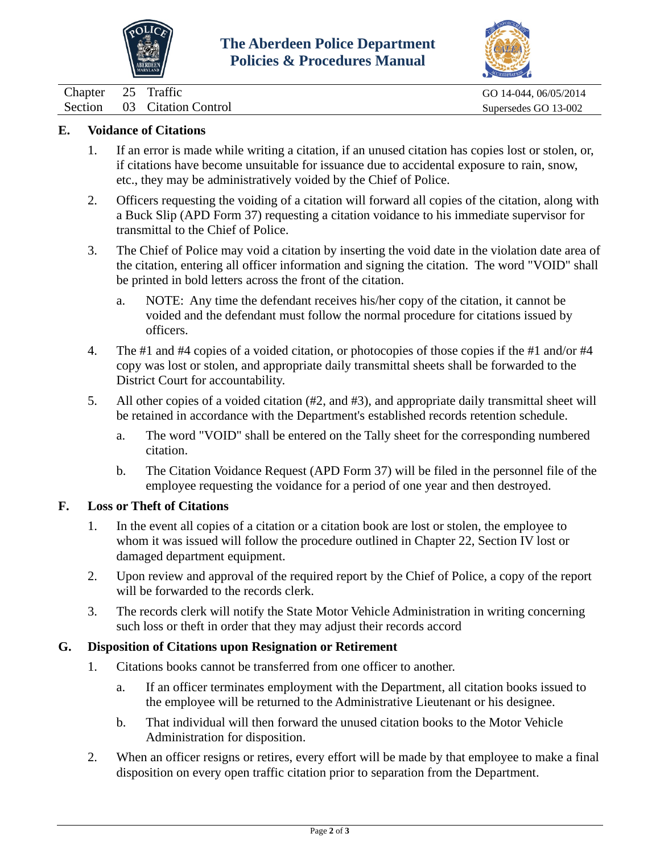



Chapter 25 Traffic GO 14-044, 06/05/2014 Section 03 Citation Control Supersedes GO 13-002

### **E. Voidance of Citations**

- 1. If an error is made while writing a citation, if an unused citation has copies lost or stolen, or, if citations have become unsuitable for issuance due to accidental exposure to rain, snow, etc., they may be administratively voided by the Chief of Police.
- 2. Officers requesting the voiding of a citation will forward all copies of the citation, along with a Buck Slip (APD Form 37) requesting a citation voidance to his immediate supervisor for transmittal to the Chief of Police.
- 3. The Chief of Police may void a citation by inserting the void date in the violation date area of the citation, entering all officer information and signing the citation. The word "VOID" shall be printed in bold letters across the front of the citation.
	- a. NOTE: Any time the defendant receives his/her copy of the citation, it cannot be voided and the defendant must follow the normal procedure for citations issued by officers.
- 4. The #1 and #4 copies of a voided citation, or photocopies of those copies if the #1 and/or #4 copy was lost or stolen, and appropriate daily transmittal sheets shall be forwarded to the District Court for accountability.
- 5. All other copies of a voided citation (#2, and #3), and appropriate daily transmittal sheet will be retained in accordance with the Department's established records retention schedule.
	- a. The word "VOID" shall be entered on the Tally sheet for the corresponding numbered citation.
	- b. The Citation Voidance Request (APD Form 37) will be filed in the personnel file of the employee requesting the voidance for a period of one year and then destroyed.

#### **F. Loss or Theft of Citations**

- 1. In the event all copies of a citation or a citation book are lost or stolen, the employee to whom it was issued will follow the procedure outlined in Chapter 22, Section IV lost or damaged department equipment.
- 2. Upon review and approval of the required report by the Chief of Police, a copy of the report will be forwarded to the records clerk.
- 3. The records clerk will notify the State Motor Vehicle Administration in writing concerning such loss or theft in order that they may adjust their records accord

### **G. Disposition of Citations upon Resignation or Retirement**

- 1. Citations books cannot be transferred from one officer to another.
	- a. If an officer terminates employment with the Department, all citation books issued to the employee will be returned to the Administrative Lieutenant or his designee.
	- b. That individual will then forward the unused citation books to the Motor Vehicle Administration for disposition.
- 2. When an officer resigns or retires, every effort will be made by that employee to make a final disposition on every open traffic citation prior to separation from the Department.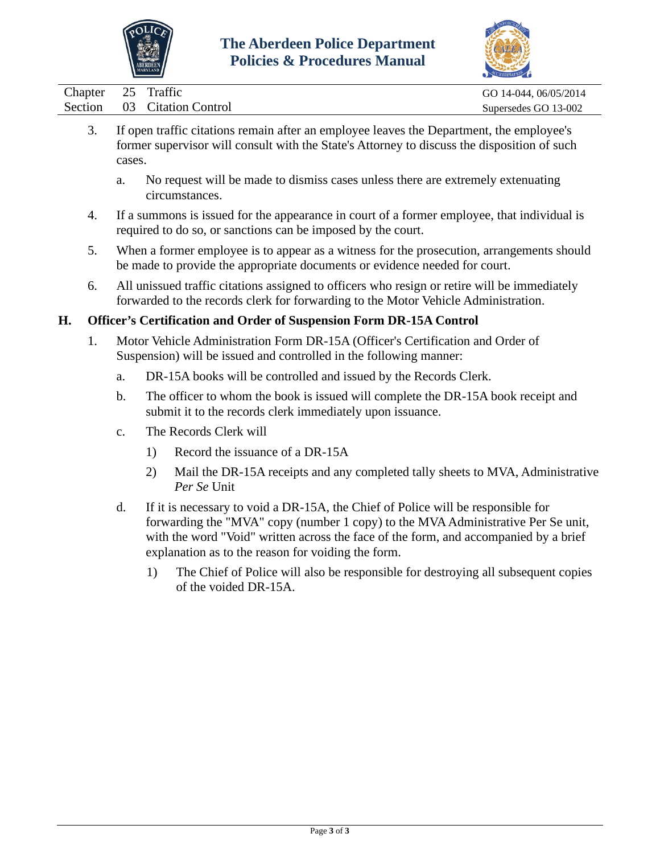



|  |                                                                                         | $\sim$                |
|--|-----------------------------------------------------------------------------------------|-----------------------|
|  | Chapter 25 Traffic                                                                      | GO 14-044, 06/05/2014 |
|  | Section 03 Citation Control                                                             | Supersedes GO 13-002  |
|  | If even traffic gitations remain after an employee leaves the Department the employee's |                       |

- 3. If open traffic citations remain after an employee leaves the Department, the employee's former supervisor will consult with the State's Attorney to discuss the disposition of such cases.
	- a. No request will be made to dismiss cases unless there are extremely extenuating circumstances.
- 4. If a summons is issued for the appearance in court of a former employee, that individual is required to do so, or sanctions can be imposed by the court.
- 5. When a former employee is to appear as a witness for the prosecution, arrangements should be made to provide the appropriate documents or evidence needed for court.
- 6. All unissued traffic citations assigned to officers who resign or retire will be immediately forwarded to the records clerk for forwarding to the Motor Vehicle Administration.

## **H. Officer's Certification and Order of Suspension Form DR-15A Control**

- 1. Motor Vehicle Administration Form DR-15A (Officer's Certification and Order of Suspension) will be issued and controlled in the following manner:
	- a. DR-15A books will be controlled and issued by the Records Clerk.
	- b. The officer to whom the book is issued will complete the DR-15A book receipt and submit it to the records clerk immediately upon issuance.
	- c. The Records Clerk will
		- 1) Record the issuance of a DR-15A
		- 2) Mail the DR-15A receipts and any completed tally sheets to MVA, Administrative *Per Se* Unit
	- d. If it is necessary to void a DR-15A, the Chief of Police will be responsible for forwarding the "MVA" copy (number 1 copy) to the MVA Administrative Per Se unit, with the word "Void" written across the face of the form, and accompanied by a brief explanation as to the reason for voiding the form.
		- 1) The Chief of Police will also be responsible for destroying all subsequent copies of the voided DR-15A.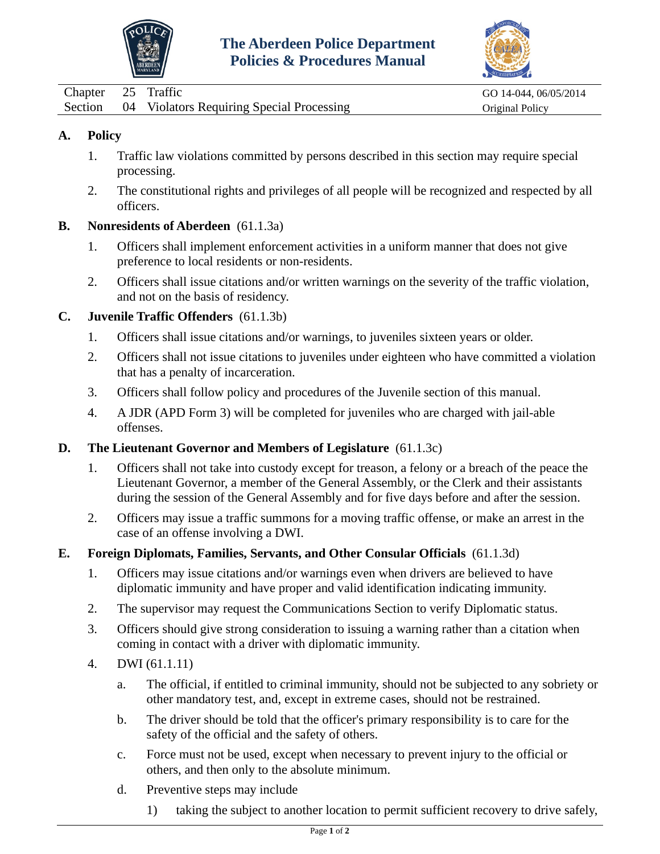



<span id="page-16-0"></span>

| Chapter 25 Traffic |                                                   | GO 14-044, 06/05/2014 |
|--------------------|---------------------------------------------------|-----------------------|
|                    | Section 04 Violators Requiring Special Processing | Original Policy       |

- 1. Traffic law violations committed by persons described in this section may require special processing.
- 2. The constitutional rights and privileges of all people will be recognized and respected by all officers.
- **B. Nonresidents of Aberdeen** (61.1.3a)
	- 1. Officers shall implement enforcement activities in a uniform manner that does not give preference to local residents or non-residents.
	- 2. Officers shall issue citations and/or written warnings on the severity of the traffic violation, and not on the basis of residency.

## **C. Juvenile Traffic Offenders** (61.1.3b)

- 1. Officers shall issue citations and/or warnings, to juveniles sixteen years or older.
- 2. Officers shall not issue citations to juveniles under eighteen who have committed a violation that has a penalty of incarceration.
- 3. Officers shall follow policy and procedures of the Juvenile section of this manual.
- 4. A JDR (APD Form 3) will be completed for juveniles who are charged with jail-able offenses.

### **D. The Lieutenant Governor and Members of Legislature** (61.1.3c)

- 1. Officers shall not take into custody except for treason, a felony or a breach of the peace the Lieutenant Governor, a member of the General Assembly, or the Clerk and their assistants during the session of the General Assembly and for five days before and after the session.
- 2. Officers may issue a traffic summons for a moving traffic offense, or make an arrest in the case of an offense involving a DWI.

### **E. Foreign Diplomats, Families, Servants, and Other Consular Officials** (61.1.3d)

- 1. Officers may issue citations and/or warnings even when drivers are believed to have diplomatic immunity and have proper and valid identification indicating immunity.
- 2. The supervisor may request the Communications Section to verify Diplomatic status.
- 3. Officers should give strong consideration to issuing a warning rather than a citation when coming in contact with a driver with diplomatic immunity.
- 4. DWI (61.1.11)
	- a. The official, if entitled to criminal immunity, should not be subjected to any sobriety or other mandatory test, and, except in extreme cases, should not be restrained.
	- b. The driver should be told that the officer's primary responsibility is to care for the safety of the official and the safety of others.
	- c. Force must not be used, except when necessary to prevent injury to the official or others, and then only to the absolute minimum.
	- d. Preventive steps may include
		- 1) taking the subject to another location to permit sufficient recovery to drive safely,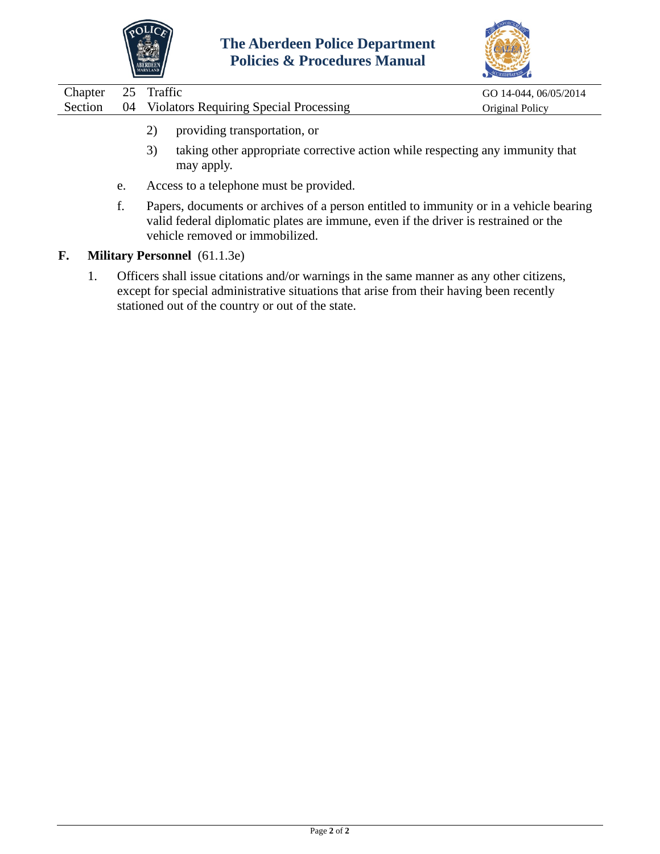



| Chapter 25 Traffic |                                                                                                                 | GO 14-044, 06/05/2014  |
|--------------------|-----------------------------------------------------------------------------------------------------------------|------------------------|
|                    | Section 04 Violators Requiring Special Processing                                                               | <b>Original Policy</b> |
|                    | the contract of the contract of the contract of the contract of the contract of the contract of the contract of |                        |

- 2) providing transportation, or
- 3) taking other appropriate corrective action while respecting any immunity that may apply.
- e. Access to a telephone must be provided.
- f. Papers, documents or archives of a person entitled to immunity or in a vehicle bearing valid federal diplomatic plates are immune, even if the driver is restrained or the vehicle removed or immobilized.
- **F. Military Personnel** (61.1.3e)
	- 1. Officers shall issue citations and/or warnings in the same manner as any other citizens, except for special administrative situations that arise from their having been recently stationed out of the country or out of the state.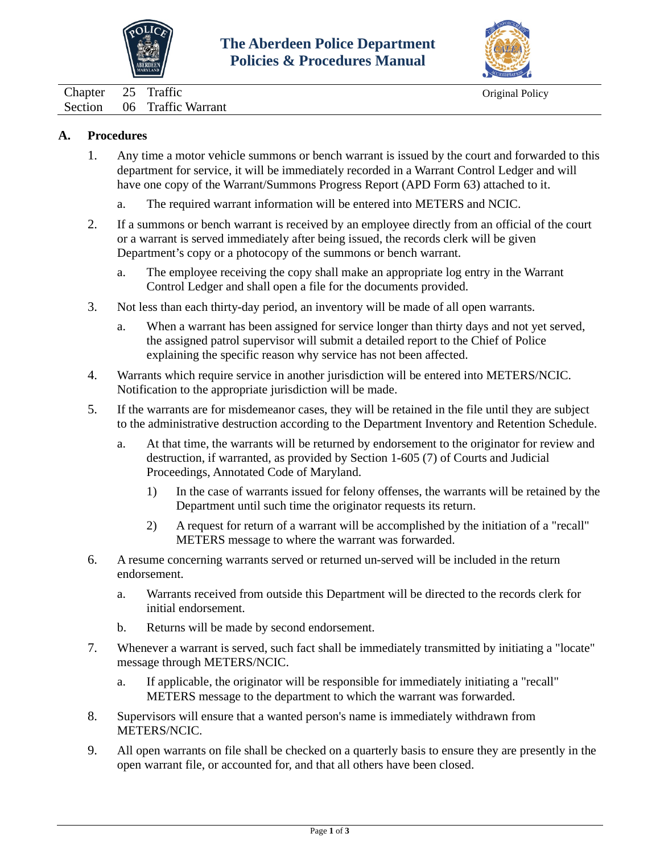



<span id="page-18-0"></span>Chapter 25 Traffic Original Policy Section 06 Traffic Warrant

#### **A. Procedures**

- 1. Any time a motor vehicle summons or bench warrant is issued by the court and forwarded to this department for service, it will be immediately recorded in a Warrant Control Ledger and will have one copy of the Warrant/Summons Progress Report (APD Form 63) attached to it.
	- a. The required warrant information will be entered into METERS and NCIC.
- 2. If a summons or bench warrant is received by an employee directly from an official of the court or a warrant is served immediately after being issued, the records clerk will be given Department's copy or a photocopy of the summons or bench warrant.
	- a. The employee receiving the copy shall make an appropriate log entry in the Warrant Control Ledger and shall open a file for the documents provided.
- 3. Not less than each thirty-day period, an inventory will be made of all open warrants.
	- a. When a warrant has been assigned for service longer than thirty days and not yet served, the assigned patrol supervisor will submit a detailed report to the Chief of Police explaining the specific reason why service has not been affected.
- 4. Warrants which require service in another jurisdiction will be entered into METERS/NCIC. Notification to the appropriate jurisdiction will be made.
- 5. If the warrants are for misdemeanor cases, they will be retained in the file until they are subject to the administrative destruction according to the Department Inventory and Retention Schedule.
	- a. At that time, the warrants will be returned by endorsement to the originator for review and destruction, if warranted, as provided by Section 1-605 (7) of Courts and Judicial Proceedings, Annotated Code of Maryland.
		- 1) In the case of warrants issued for felony offenses, the warrants will be retained by the Department until such time the originator requests its return.
		- 2) A request for return of a warrant will be accomplished by the initiation of a "recall" METERS message to where the warrant was forwarded.
- 6. A resume concerning warrants served or returned un-served will be included in the return endorsement.
	- a. Warrants received from outside this Department will be directed to the records clerk for initial endorsement.
	- b. Returns will be made by second endorsement.
- 7. Whenever a warrant is served, such fact shall be immediately transmitted by initiating a "locate" message through METERS/NCIC.
	- a. If applicable, the originator will be responsible for immediately initiating a "recall" METERS message to the department to which the warrant was forwarded.
- 8. Supervisors will ensure that a wanted person's name is immediately withdrawn from METERS/NCIC.
- 9. All open warrants on file shall be checked on a quarterly basis to ensure they are presently in the open warrant file, or accounted for, and that all others have been closed.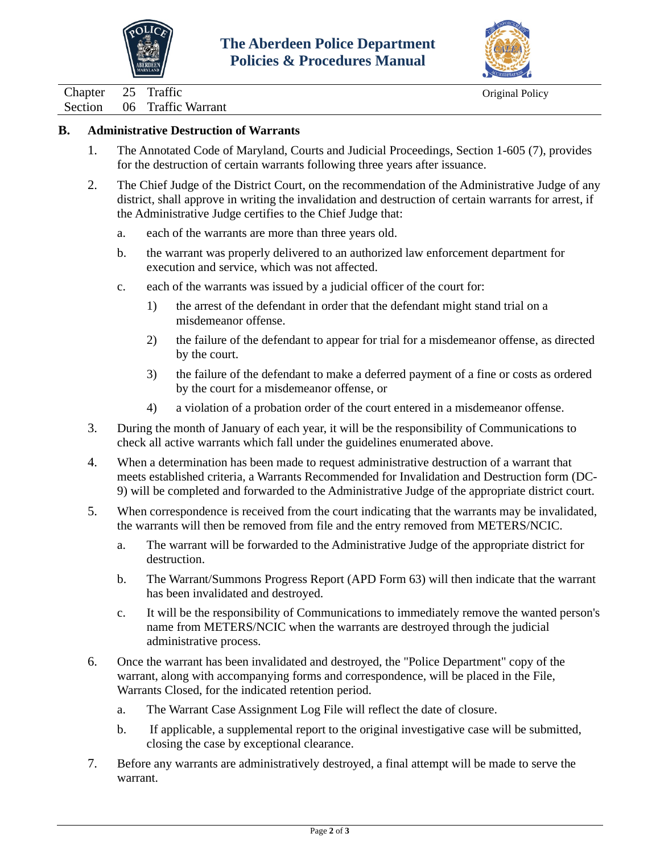



Chapter 25 Traffic Original Policy

Section 06 Traffic Warrant

### **B. Administrative Destruction of Warrants**

- 1. The Annotated Code of Maryland, Courts and Judicial Proceedings, Section 1-605 (7), provides for the destruction of certain warrants following three years after issuance.
- 2. The Chief Judge of the District Court, on the recommendation of the Administrative Judge of any district, shall approve in writing the invalidation and destruction of certain warrants for arrest, if the Administrative Judge certifies to the Chief Judge that:
	- a. each of the warrants are more than three years old.
	- b. the warrant was properly delivered to an authorized law enforcement department for execution and service, which was not affected.
	- c. each of the warrants was issued by a judicial officer of the court for:
		- 1) the arrest of the defendant in order that the defendant might stand trial on a misdemeanor offense.
		- 2) the failure of the defendant to appear for trial for a misdemeanor offense, as directed by the court.
		- 3) the failure of the defendant to make a deferred payment of a fine or costs as ordered by the court for a misdemeanor offense, or
		- 4) a violation of a probation order of the court entered in a misdemeanor offense.
- 3. During the month of January of each year, it will be the responsibility of Communications to check all active warrants which fall under the guidelines enumerated above.
- 4. When a determination has been made to request administrative destruction of a warrant that meets established criteria, a Warrants Recommended for Invalidation and Destruction form (DC-9) will be completed and forwarded to the Administrative Judge of the appropriate district court.
- 5. When correspondence is received from the court indicating that the warrants may be invalidated, the warrants will then be removed from file and the entry removed from METERS/NCIC.
	- a. The warrant will be forwarded to the Administrative Judge of the appropriate district for destruction.
	- b. The Warrant/Summons Progress Report (APD Form 63) will then indicate that the warrant has been invalidated and destroyed.
	- c. It will be the responsibility of Communications to immediately remove the wanted person's name from METERS/NCIC when the warrants are destroyed through the judicial administrative process.
- 6. Once the warrant has been invalidated and destroyed, the "Police Department" copy of the warrant, along with accompanying forms and correspondence, will be placed in the File, Warrants Closed, for the indicated retention period.
	- a. The Warrant Case Assignment Log File will reflect the date of closure.
	- b. If applicable, a supplemental report to the original investigative case will be submitted, closing the case by exceptional clearance.
- 7. Before any warrants are administratively destroyed, a final attempt will be made to serve the warrant.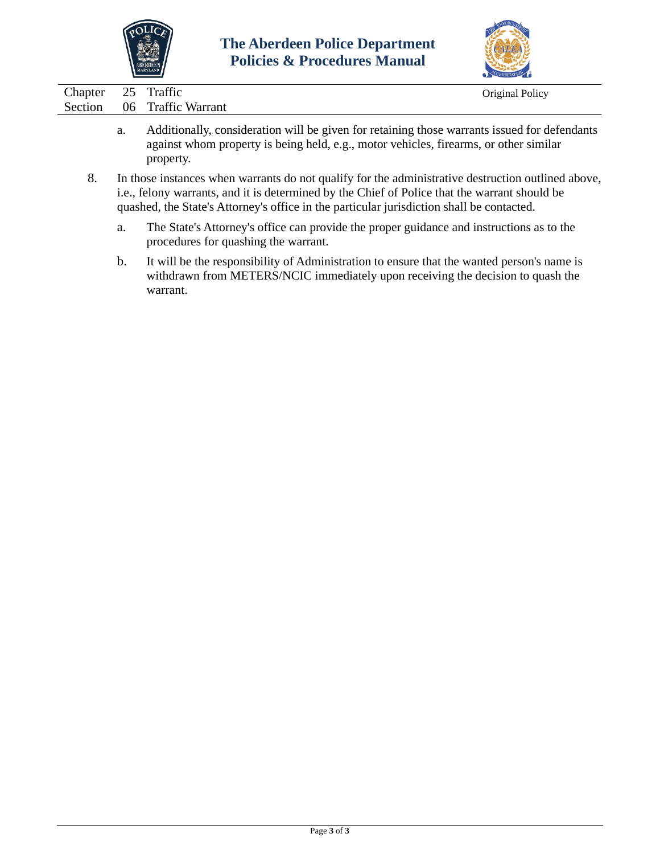



| Chapter 25 Traffic |                            | Original Policy |
|--------------------|----------------------------|-----------------|
|                    | Section 06 Traffic Warrant |                 |
|                    |                            |                 |

- a. Additionally, consideration will be given for retaining those warrants issued for defendants against whom property is being held, e.g., motor vehicles, firearms, or other similar property.
- 8. In those instances when warrants do not qualify for the administrative destruction outlined above, i.e., felony warrants, and it is determined by the Chief of Police that the warrant should be quashed, the State's Attorney's office in the particular jurisdiction shall be contacted.
	- a. The State's Attorney's office can provide the proper guidance and instructions as to the procedures for quashing the warrant.
	- b. It will be the responsibility of Administration to ensure that the wanted person's name is withdrawn from METERS/NCIC immediately upon receiving the decision to quash the warrant.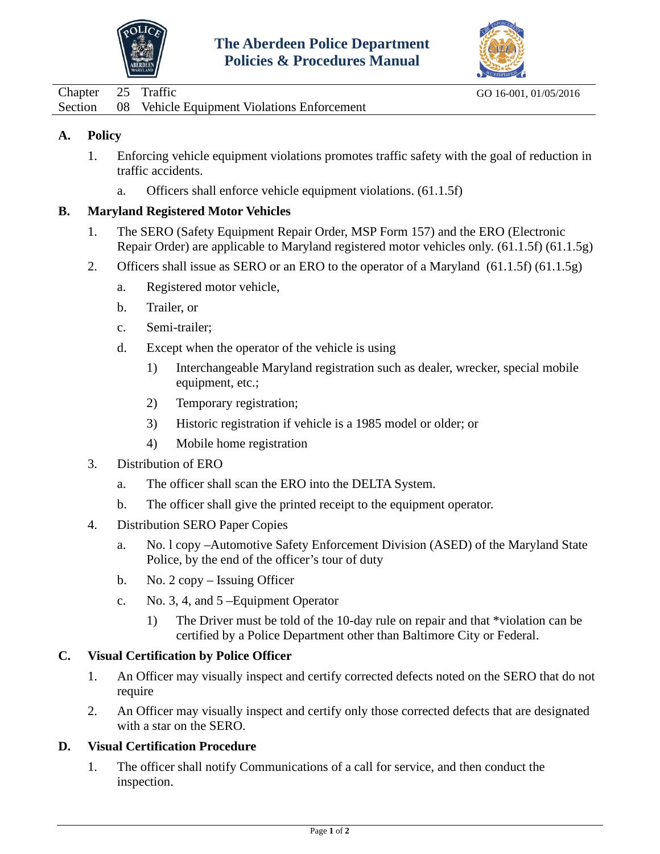



<span id="page-21-0"></span>

| Chapter 25 Traffic |                                                     | GO 16-001, 01/05/2016 |
|--------------------|-----------------------------------------------------|-----------------------|
|                    | Section 08 Vehicle Equipment Violations Enforcement |                       |

- 1. Enforcing vehicle equipment violations promotes traffic safety with the goal of reduction in traffic accidents.
	- a. Officers shall enforce vehicle equipment violations. (61.1.5f)

### **B. Maryland Registered Motor Vehicles**

- 1. The SERO (Safety Equipment Repair Order, MSP Form 157) and the ERO (Electronic Repair Order) are applicable to Maryland registered motor vehicles only. (61.1.5f) (61.1.5g)
- 2. Officers shall issue as SERO or an ERO to the operator of a Maryland (61.1.5f) (61.1.5g)
	- a. Registered motor vehicle,
	- b. Trailer, or
	- c. Semi-trailer;
	- d. Except when the operator of the vehicle is using
		- 1) Interchangeable Maryland registration such as dealer, wrecker, special mobile equipment, etc.;
		- 2) Temporary registration;
		- 3) Historic registration if vehicle is a 1985 model or older; or
		- 4) Mobile home registration
- 3. Distribution of ERO
	- a. The officer shall scan the ERO into the DELTA System.
	- b. The officer shall give the printed receipt to the equipment operator.
- 4. Distribution SERO Paper Copies
	- a. No. l copy –Automotive Safety Enforcement Division (ASED) of the Maryland State Police, by the end of the officer's tour of duty
	- b. No. 2 copy Issuing Officer
	- c. No. 3, 4, and 5 –Equipment Operator
		- 1) The Driver must be told of the 10-day rule on repair and that \*violation can be certified by a Police Department other than Baltimore City or Federal.

### **C. Visual Certification by Police Officer**

- 1. An Officer may visually inspect and certify corrected defects noted on the SERO that do not require
- 2. An Officer may visually inspect and certify only those corrected defects that are designated with a star on the SERO.

# **D. Visual Certification Procedure**

1. The officer shall notify Communications of a call for service, and then conduct the inspection.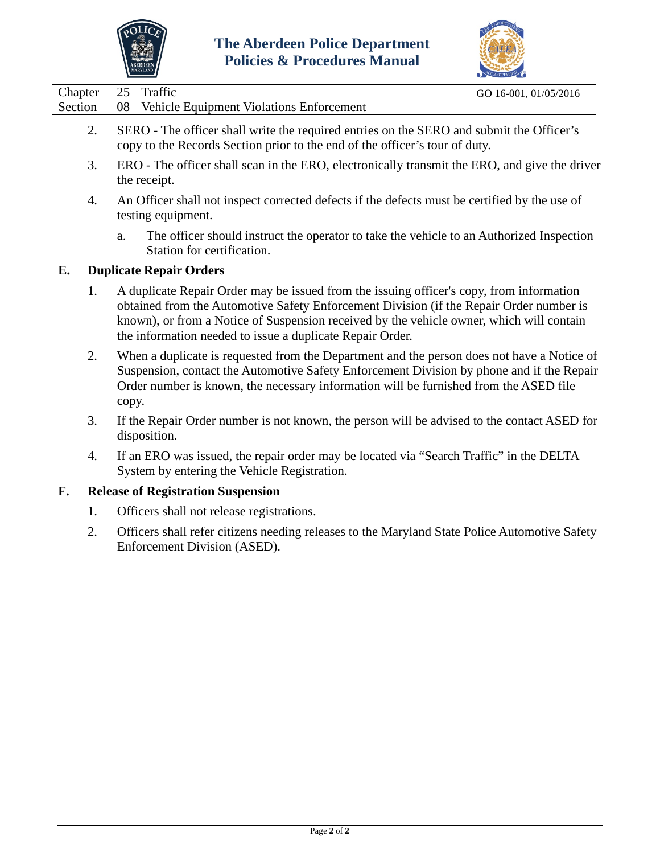



| Chapter | 25 Traffic                                                                               | GO 16-001, 01/05/2016 |
|---------|------------------------------------------------------------------------------------------|-----------------------|
| Section | 08 Vehicle Equipment Violations Enforcement                                              |                       |
|         | SERO - The officer shall write the required entries on the SERO and submit the Officer's |                       |
|         | copy to the Records Section prior to the end of the officer's tour of duty.              |                       |

- 3. ERO The officer shall scan in the ERO, electronically transmit the ERO, and give the driver the receipt.
- 4. An Officer shall not inspect corrected defects if the defects must be certified by the use of testing equipment.
	- a. The officer should instruct the operator to take the vehicle to an Authorized Inspection Station for certification.

## **E. Duplicate Repair Orders**

- 1. A duplicate Repair Order may be issued from the issuing officer's copy, from information obtained from the Automotive Safety Enforcement Division (if the Repair Order number is known), or from a Notice of Suspension received by the vehicle owner, which will contain the information needed to issue a duplicate Repair Order.
- 2. When a duplicate is requested from the Department and the person does not have a Notice of Suspension, contact the Automotive Safety Enforcement Division by phone and if the Repair Order number is known, the necessary information will be furnished from the ASED file copy.
- 3. If the Repair Order number is not known, the person will be advised to the contact ASED for disposition.
- 4. If an ERO was issued, the repair order may be located via "Search Traffic" in the DELTA System by entering the Vehicle Registration.

### **F. Release of Registration Suspension**

- 1. Officers shall not release registrations.
- 2. Officers shall refer citizens needing releases to the Maryland State Police Automotive Safety Enforcement Division (ASED).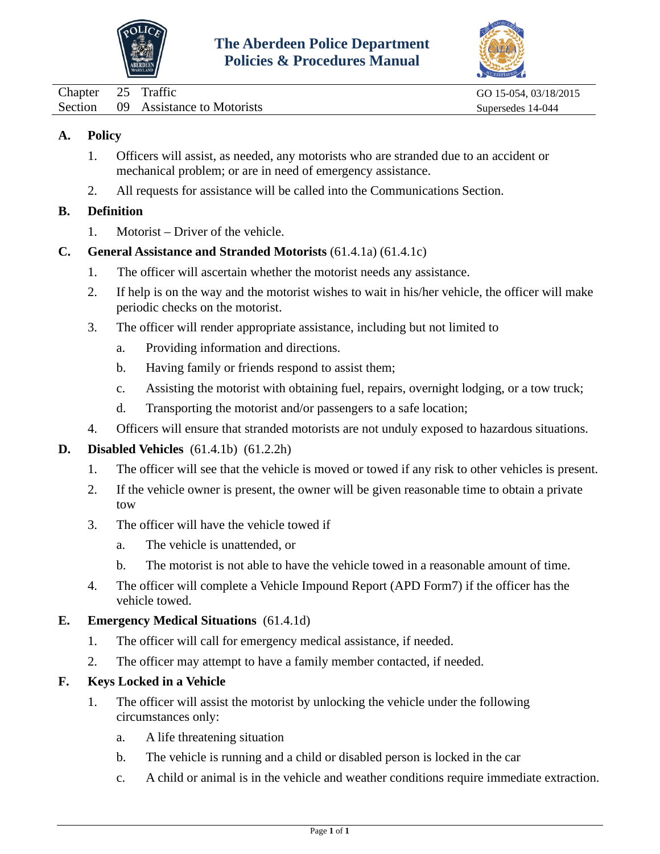



<span id="page-23-0"></span>

| Chapter 25 Traffic |                                    | GO 15-054, 03/18/2015 |
|--------------------|------------------------------------|-----------------------|
|                    | Section 09 Assistance to Motorists | Supersedes 14-044     |

- 1. Officers will assist, as needed, any motorists who are stranded due to an accident or mechanical problem; or are in need of emergency assistance.
- 2. All requests for assistance will be called into the Communications Section.

### **B. Definition**

- 1. Motorist Driver of the vehicle.
- **C. General Assistance and Stranded Motorists** (61.4.1a) (61.4.1c)
	- 1. The officer will ascertain whether the motorist needs any assistance.
	- 2. If help is on the way and the motorist wishes to wait in his/her vehicle, the officer will make periodic checks on the motorist.
	- 3. The officer will render appropriate assistance, including but not limited to
		- a. Providing information and directions.
		- b. Having family or friends respond to assist them;
		- c. Assisting the motorist with obtaining fuel, repairs, overnight lodging, or a tow truck;
		- d. Transporting the motorist and/or passengers to a safe location;
	- 4. Officers will ensure that stranded motorists are not unduly exposed to hazardous situations.

### **D. Disabled Vehicles** (61.4.1b) (61.2.2h)

- 1. The officer will see that the vehicle is moved or towed if any risk to other vehicles is present.
- 2. If the vehicle owner is present, the owner will be given reasonable time to obtain a private tow
- 3. The officer will have the vehicle towed if
	- a. The vehicle is unattended, or
	- b. The motorist is not able to have the vehicle towed in a reasonable amount of time.
- 4. The officer will complete a Vehicle Impound Report (APD Form7) if the officer has the vehicle towed.

#### **E. Emergency Medical Situations** (61.4.1d)

- 1. The officer will call for emergency medical assistance, if needed.
- 2. The officer may attempt to have a family member contacted, if needed.

### **F. Keys Locked in a Vehicle**

- 1. The officer will assist the motorist by unlocking the vehicle under the following circumstances only:
	- a. A life threatening situation
	- b. The vehicle is running and a child or disabled person is locked in the car
	- c. A child or animal is in the vehicle and weather conditions require immediate extraction.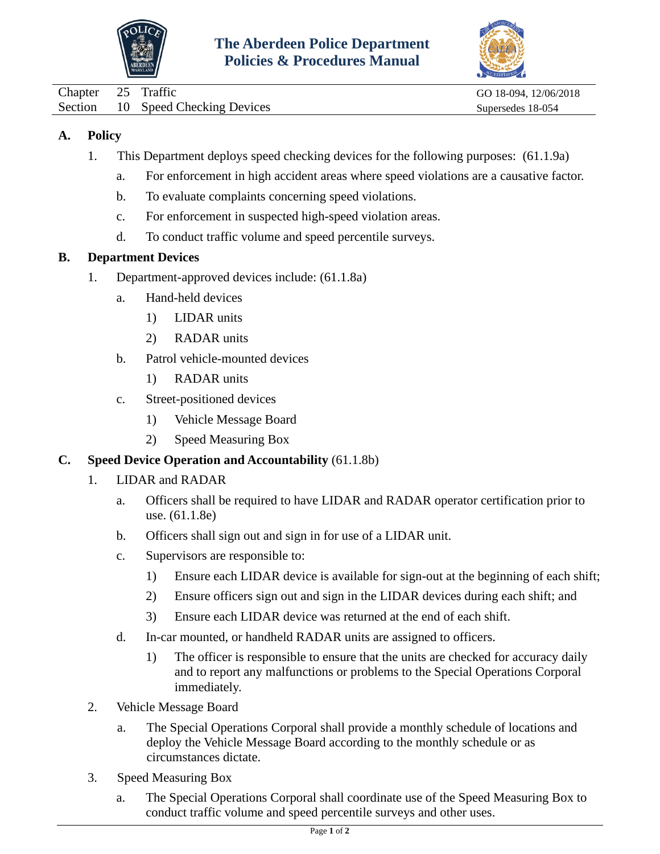



<span id="page-24-0"></span>

| Chapter 25 Traffic |                                   | GO 18-094, 12/06/2018 |
|--------------------|-----------------------------------|-----------------------|
|                    | Section 10 Speed Checking Devices | Supersedes 18-054     |

- 1. This Department deploys speed checking devices for the following purposes: (61.1.9a)
	- a. For enforcement in high accident areas where speed violations are a causative factor.
	- b. To evaluate complaints concerning speed violations.
	- c. For enforcement in suspected high-speed violation areas.
	- d. To conduct traffic volume and speed percentile surveys.

## **B. Department Devices**

- 1. Department-approved devices include: (61.1.8a)
	- a. Hand-held devices
		- 1) LIDAR units
		- 2) RADAR units
	- b. Patrol vehicle-mounted devices
		- 1) RADAR units
	- c. Street-positioned devices
		- 1) Vehicle Message Board
		- 2) Speed Measuring Box

### **C. Speed Device Operation and Accountability** (61.1.8b)

- 1. LIDAR and RADAR
	- a. Officers shall be required to have LIDAR and RADAR operator certification prior to use. (61.1.8e)
	- b. Officers shall sign out and sign in for use of a LIDAR unit.
	- c. Supervisors are responsible to:
		- 1) Ensure each LIDAR device is available for sign-out at the beginning of each shift;
		- 2) Ensure officers sign out and sign in the LIDAR devices during each shift; and
		- 3) Ensure each LIDAR device was returned at the end of each shift.
	- d. In-car mounted, or handheld RADAR units are assigned to officers.
		- 1) The officer is responsible to ensure that the units are checked for accuracy daily and to report any malfunctions or problems to the Special Operations Corporal immediately.
- 2. Vehicle Message Board
	- a. The Special Operations Corporal shall provide a monthly schedule of locations and deploy the Vehicle Message Board according to the monthly schedule or as circumstances dictate.
- 3. Speed Measuring Box
	- a. The Special Operations Corporal shall coordinate use of the Speed Measuring Box to conduct traffic volume and speed percentile surveys and other uses.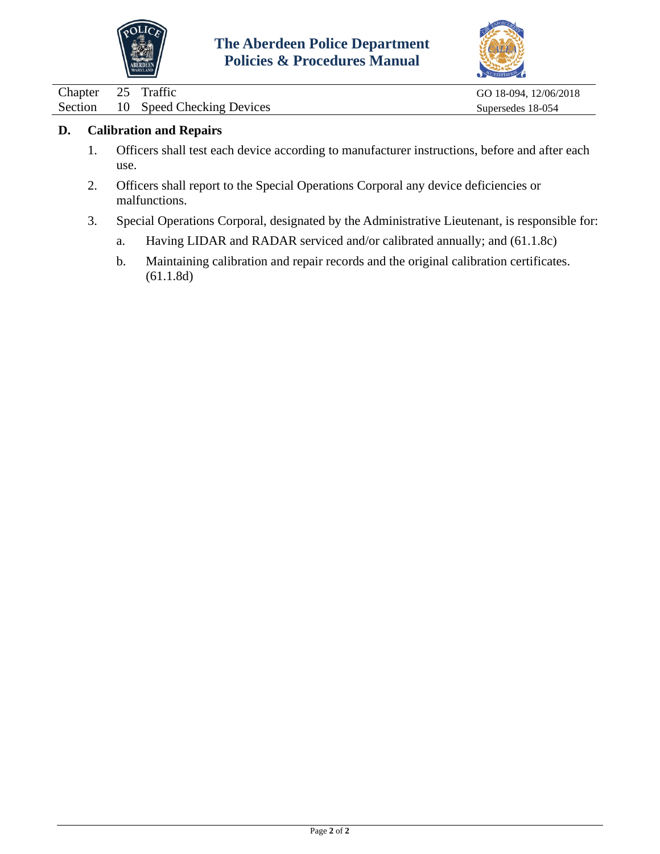



| Chapter 25 Traffic |                                   | GO 18-094, 12/06/2018 |
|--------------------|-----------------------------------|-----------------------|
|                    | Section 10 Speed Checking Devices | Supersedes 18-054     |

### **D. Calibration and Repairs**

- 1. Officers shall test each device according to manufacturer instructions, before and after each use.
- 2. Officers shall report to the Special Operations Corporal any device deficiencies or malfunctions.
- 3. Special Operations Corporal, designated by the Administrative Lieutenant, is responsible for:
	- a. Having LIDAR and RADAR serviced and/or calibrated annually; and (61.1.8c)
	- b. Maintaining calibration and repair records and the original calibration certificates. (61.1.8d)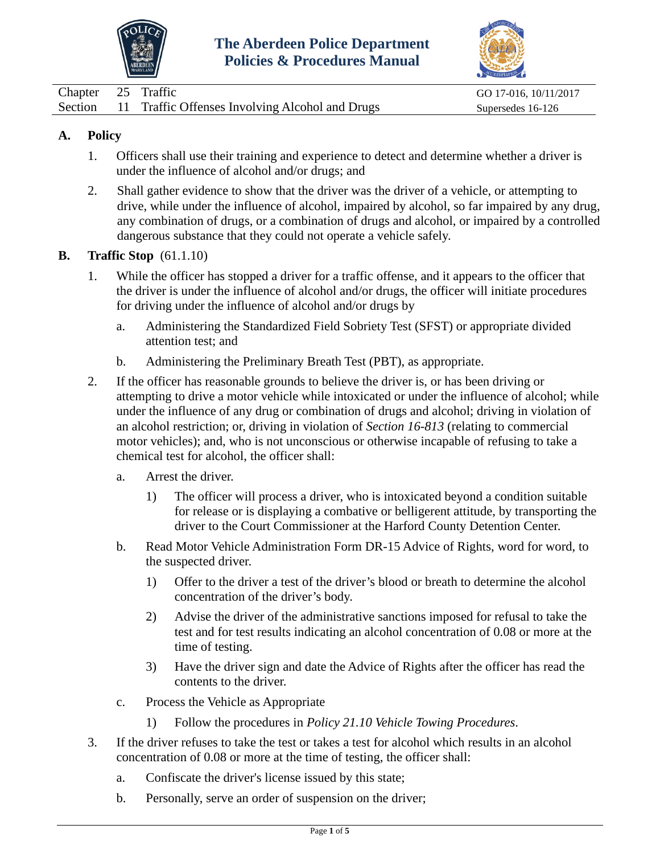



<span id="page-26-0"></span>

| Chapter 25 Traffic |                                                         | GO 17-016, 10/11/2017 |
|--------------------|---------------------------------------------------------|-----------------------|
|                    | Section 11 Traffic Offenses Involving Alcohol and Drugs | Supersedes 16-126     |

- 1. Officers shall use their training and experience to detect and determine whether a driver is under the influence of alcohol and/or drugs; and
- 2. Shall gather evidence to show that the driver was the driver of a vehicle, or attempting to drive, while under the influence of alcohol, impaired by alcohol, so far impaired by any drug, any combination of drugs, or a combination of drugs and alcohol, or impaired by a controlled dangerous substance that they could not operate a vehicle safely.

#### **B. Traffic Stop** (61.1.10)

- 1. While the officer has stopped a driver for a traffic offense, and it appears to the officer that the driver is under the influence of alcohol and/or drugs, the officer will initiate procedures for driving under the influence of alcohol and/or drugs by
	- a. Administering the Standardized Field Sobriety Test (SFST) or appropriate divided attention test; and
	- b. Administering the Preliminary Breath Test (PBT), as appropriate.
- 2. If the officer has reasonable grounds to believe the driver is, or has been driving or attempting to drive a motor vehicle while intoxicated or under the influence of alcohol; while under the influence of any drug or combination of drugs and alcohol; driving in violation of an alcohol restriction; or, driving in violation of *Section 16-813* (relating to commercial motor vehicles); and, who is not unconscious or otherwise incapable of refusing to take a chemical test for alcohol, the officer shall:
	- a. Arrest the driver.
		- 1) The officer will process a driver, who is intoxicated beyond a condition suitable for release or is displaying a combative or belligerent attitude, by transporting the driver to the Court Commissioner at the Harford County Detention Center.
	- b. Read Motor Vehicle Administration Form DR-15 Advice of Rights, word for word, to the suspected driver.
		- 1) Offer to the driver a test of the driver's blood or breath to determine the alcohol concentration of the driver's body.
		- 2) Advise the driver of the administrative sanctions imposed for refusal to take the test and for test results indicating an alcohol concentration of 0.08 or more at the time of testing.
		- 3) Have the driver sign and date the Advice of Rights after the officer has read the contents to the driver.
	- c. Process the Vehicle as Appropriate
		- 1) Follow the procedures in *Policy 21.10 Vehicle Towing Procedures*.
- 3. If the driver refuses to take the test or takes a test for alcohol which results in an alcohol concentration of 0.08 or more at the time of testing, the officer shall:
	- a. Confiscate the driver's license issued by this state;
	- b. Personally, serve an order of suspension on the driver;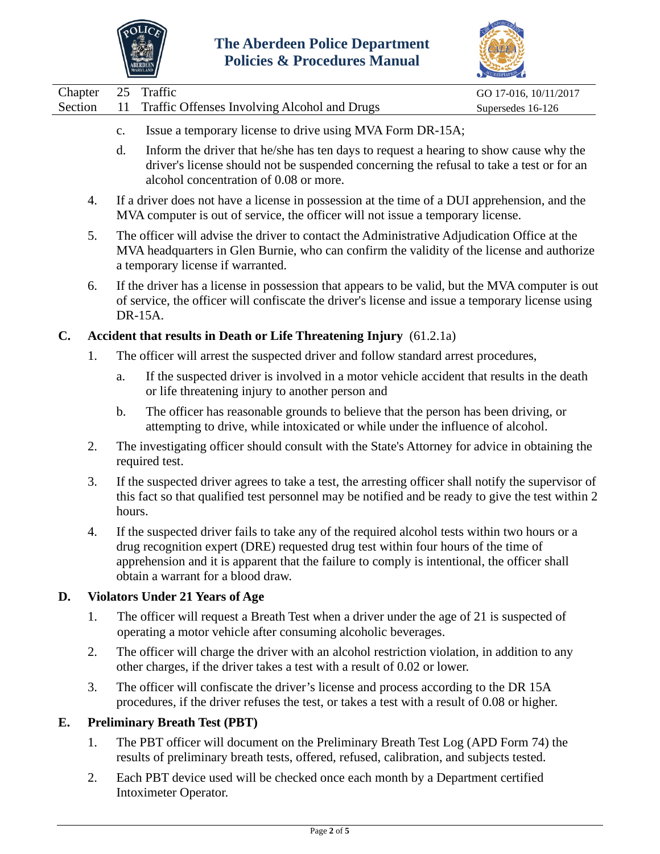



|         |             |                                                                                       | CREDITATION           |
|---------|-------------|---------------------------------------------------------------------------------------|-----------------------|
| Chapter |             | 25 Traffic                                                                            | GO 17-016, 10/11/2017 |
| Section |             | 11 Traffic Offenses Involving Alcohol and Drugs                                       | Supersedes 16-126     |
|         | $c_{\cdot}$ | Issue a temporary license to drive using MVA Form DR-15A;                             |                       |
|         |             | Inform the driver that he/she has ten days to request a hearing to show cause why the |                       |

- d. Inform the driver that he/she has ten days to request a hearing to show cause why the driver's license should not be suspended concerning the refusal to take a test or for an alcohol concentration of 0.08 or more.
- 4. If a driver does not have a license in possession at the time of a DUI apprehension, and the MVA computer is out of service, the officer will not issue a temporary license.
- 5. The officer will advise the driver to contact the Administrative Adjudication Office at the MVA headquarters in Glen Burnie, who can confirm the validity of the license and authorize a temporary license if warranted.
- 6. If the driver has a license in possession that appears to be valid, but the MVA computer is out of service, the officer will confiscate the driver's license and issue a temporary license using DR-15A.

## **C. Accident that results in Death or Life Threatening Injury** (61.2.1a)

- 1. The officer will arrest the suspected driver and follow standard arrest procedures,
	- a. If the suspected driver is involved in a motor vehicle accident that results in the death or life threatening injury to another person and
	- b. The officer has reasonable grounds to believe that the person has been driving, or attempting to drive, while intoxicated or while under the influence of alcohol.
- 2. The investigating officer should consult with the State's Attorney for advice in obtaining the required test.
- 3. If the suspected driver agrees to take a test, the arresting officer shall notify the supervisor of this fact so that qualified test personnel may be notified and be ready to give the test within 2 hours.
- 4. If the suspected driver fails to take any of the required alcohol tests within two hours or a drug recognition expert (DRE) requested drug test within four hours of the time of apprehension and it is apparent that the failure to comply is intentional, the officer shall obtain a warrant for a blood draw.

# **D. Violators Under 21 Years of Age**

- 1. The officer will request a Breath Test when a driver under the age of 21 is suspected of operating a motor vehicle after consuming alcoholic beverages.
- 2. The officer will charge the driver with an alcohol restriction violation, in addition to any other charges, if the driver takes a test with a result of 0.02 or lower.
- 3. The officer will confiscate the driver's license and process according to the DR 15A procedures, if the driver refuses the test, or takes a test with a result of 0.08 or higher.

# **E. Preliminary Breath Test (PBT)**

- 1. The PBT officer will document on the Preliminary Breath Test Log (APD Form 74) the results of preliminary breath tests, offered, refused, calibration, and subjects tested.
- 2. Each PBT device used will be checked once each month by a Department certified Intoximeter Operator.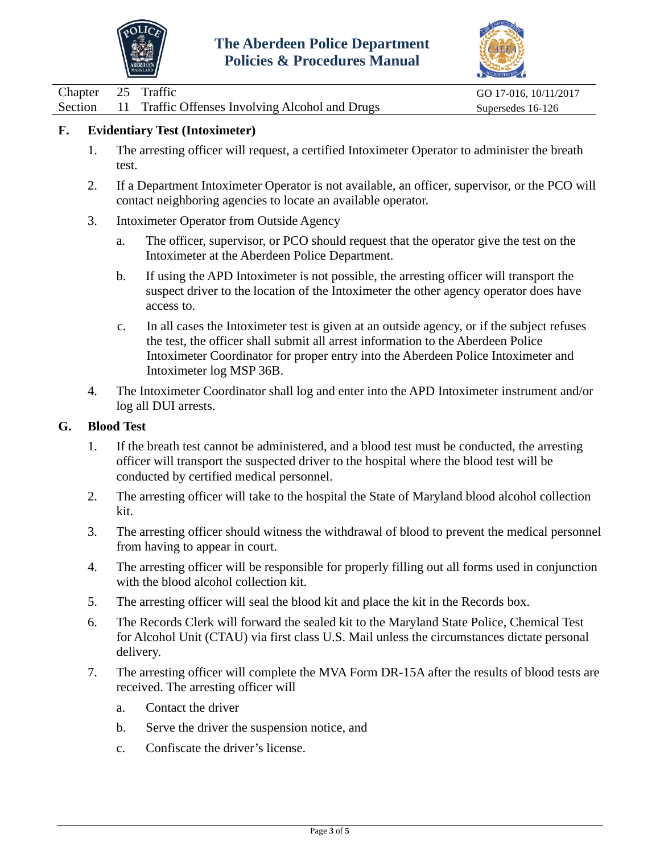



| Chapter 25 Traffic |                                                         | GO 17-016, 10/11/2017 |
|--------------------|---------------------------------------------------------|-----------------------|
|                    | Section 11 Traffic Offenses Involving Alcohol and Drugs | Supersedes 16-126     |

### **F. Evidentiary Test (Intoximeter)**

- 1. The arresting officer will request, a certified Intoximeter Operator to administer the breath test.
- 2. If a Department Intoximeter Operator is not available, an officer, supervisor, or the PCO will contact neighboring agencies to locate an available operator.
- 3. Intoximeter Operator from Outside Agency
	- a. The officer, supervisor, or PCO should request that the operator give the test on the Intoximeter at the Aberdeen Police Department.
	- b. If using the APD Intoximeter is not possible, the arresting officer will transport the suspect driver to the location of the Intoximeter the other agency operator does have access to.
	- c. In all cases the Intoximeter test is given at an outside agency, or if the subject refuses the test, the officer shall submit all arrest information to the Aberdeen Police Intoximeter Coordinator for proper entry into the Aberdeen Police Intoximeter and Intoximeter log MSP 36B.
- 4. The Intoximeter Coordinator shall log and enter into the APD Intoximeter instrument and/or log all DUI arrests.

#### **G. Blood Test**

- 1. If the breath test cannot be administered, and a blood test must be conducted, the arresting officer will transport the suspected driver to the hospital where the blood test will be conducted by certified medical personnel.
- 2. The arresting officer will take to the hospital the State of Maryland blood alcohol collection kit.
- 3. The arresting officer should witness the withdrawal of blood to prevent the medical personnel from having to appear in court.
- 4. The arresting officer will be responsible for properly filling out all forms used in conjunction with the blood alcohol collection kit.
- 5. The arresting officer will seal the blood kit and place the kit in the Records box.
- 6. The Records Clerk will forward the sealed kit to the Maryland State Police, Chemical Test for Alcohol Unit (CTAU) via first class U.S. Mail unless the circumstances dictate personal delivery.
- 7. The arresting officer will complete the MVA Form DR-15A after the results of blood tests are received. The arresting officer will
	- a. Contact the driver
	- b. Serve the driver the suspension notice, and
	- c. Confiscate the driver's license.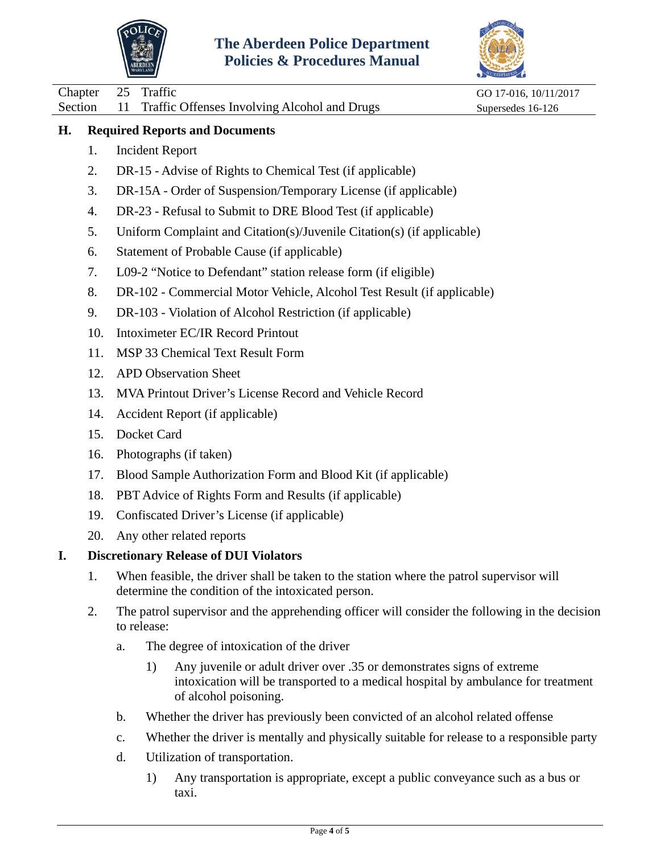



Chapter 25 Traffic GO 17-016, 10/11/2017 Section 11 Traffic Offenses Involving Alcohol and Drugs Supersedes 16-126 **H. Required Reports and Documents** 1. Incident Report 2. DR-15 - Advise of Rights to Chemical Test (if applicable) 3. DR-15A - Order of Suspension/Temporary License (if applicable) 4. DR-23 - Refusal to Submit to DRE Blood Test (if applicable) 5. Uniform Complaint and Citation(s)/Juvenile Citation(s) (if applicable) 6. Statement of Probable Cause (if applicable) 7. L09-2 "Notice to Defendant" station release form (if eligible) 8. DR-102 - Commercial Motor Vehicle, Alcohol Test Result (if applicable) 9. DR-103 - Violation of Alcohol Restriction (if applicable) 10. Intoximeter EC/IR Record Printout 11. MSP 33 Chemical Text Result Form 12. APD Observation Sheet 13. MVA Printout Driver's License Record and Vehicle Record 14. Accident Report (if applicable) 15. Docket Card 16. Photographs (if taken) 17. Blood Sample Authorization Form and Blood Kit (if applicable) 18. PBT Advice of Rights Form and Results (if applicable) 19. Confiscated Driver's License (if applicable) 20. Any other related reports **I. Discretionary Release of DUI Violators** 1. When feasible, the driver shall be taken to the station where the patrol supervisor will determine the condition of the intoxicated person. 2. The patrol supervisor and the apprehending officer will consider the following in the decision to release: a. The degree of intoxication of the driver 1) Any juvenile or adult driver over .35 or demonstrates signs of extreme

- intoxication will be transported to a medical hospital by ambulance for treatment of alcohol poisoning.
- b. Whether the driver has previously been convicted of an alcohol related offense
- c. Whether the driver is mentally and physically suitable for release to a responsible party
- d. Utilization of transportation.
	- 1) Any transportation is appropriate, except a public conveyance such as a bus or taxi.